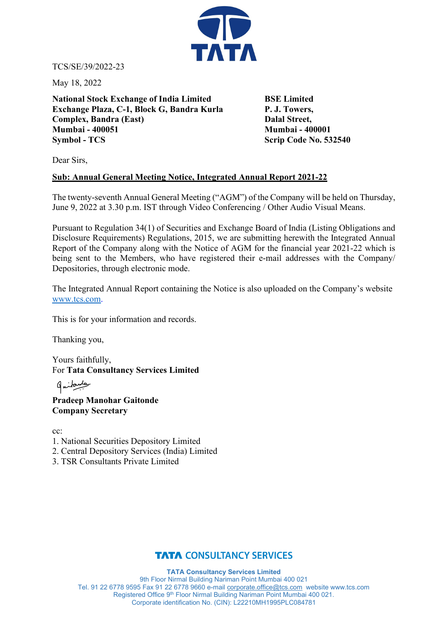

TCS/SE/39/2022-23

May 18, 2022

**National Stock Exchange of India Limited BSE Limited Exchange Plaza, C-1, Block G, Bandra Kurla P. J. Towers, Complex, Bandra (East)** Dalal Street, **Mumbai - 400051 Mumbai - 400001 Symbol - TCS** Scrip Code No. 532540

Dear Sirs,

# **Sub: Annual General Meeting Notice, Integrated Annual Report 2021-22**

The twenty-seventh Annual General Meeting ("AGM") of the Company will be held on Thursday, June 9, 2022 at 3.30 p.m. IST through Video Conferencing / Other Audio Visual Means.

Pursuant to Regulation 34(1) of Securities and Exchange Board of India (Listing Obligations and Disclosure Requirements) Regulations, 2015, we are submitting herewith the Integrated Annual Report of the Company along with the Notice of AGM for the financial year 2021-22 which is being sent to the Members, who have registered their e-mail addresses with the Company/ Depositories, through electronic mode.

The Integrated Annual Report containing the Notice is also uploaded on the Company's website [www.tcs.com.](http://www.tcs.com/)

This is for your information and records.

Thanking you,

Yours faithfully, For **Tata Consultancy Services Limited**

ومسلمانيها

**Pradeep Manohar Gaitonde Company Secretary**

cc:

- 1. National Securities Depository Limited
- 2. Central Depository Services (India) Limited
- 3. TSR Consultants Private Limited

# **TATA CONSULTANCY SERVICES**

**TATA Consultancy Services Limited** 9th Floor Nirmal Building Nariman Point Mumbai 400 021 Tel. 91 22 6778 9595 Fax 91 22 6778 9660 e-mail [corporate.office@tcs.com](mailto:corporate.office@tcs.com) website www.tcs.com Registered Office 9th Floor Nirmal Building Nariman Point Mumbai 400 021. Corporate identification No. (CIN): L22210MH1995PLC084781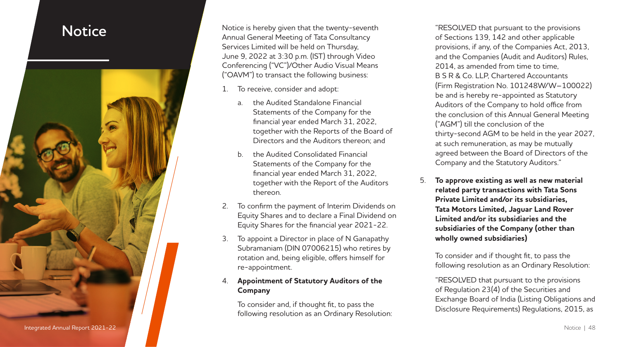

**Notice** Notice is hereby given that the twenty-seventh **Notice Annual General Meeting of Tata Consultancy** Services Limited will be held on Thursday, June 9, 2022 at 3:30 p.m. (IST) through Video Conferencing ("VC")/Other Audio Visual Means ("OAVM") to transact the following business:

- To receive, consider and adopt:
	- a. the Audited Standalone Financial Statements of the Company for the financial year ended March 31, 2022, together with the Reports of the Board of Directors and the Auditors thereon; and
	- b. the Audited Consolidated Financial Statements of the Company for the financial year ended March 31, 2022, together with the Report of the Auditors thereon.
- 2. To confirm the payment of Interim Dividends on Equity Shares and to declare a Final Dividend on Equity Shares for the financial year 2021-22.
- 3. To appoint a Director in place of N Ganapathy Subramaniam (DIN 07006215) who retires by rotation and, being eligible, offers himself for re-appointment.

### 4. **Appointment of Statutory Auditors of the Company**

To consider and, if thought fit, to pass the following resolution as an Ordinary Resolution: "RESOLVED that pursuant to the provisions of Sections 139, 142 and other applicable provisions, if any, of the Companies Act, 2013, and the Companies (Audit and Auditors) Rules, 2014, as amended from time to time, B S R & Co. LLP, Chartered Accountants (Firm Registration No. 101248W/W–100022) be and is hereby re-appointed as Statutory Auditors of the Company to hold office from the conclusion of this Annual General Meeting ("AGM") till the conclusion of the thirty-second AGM to be held in the year 2027, at such remuneration, as may be mutually agreed between the Board of Directors of the Company and the Statutory Auditors."

5. **To approve existing as well as new material related party transactions with Tata Sons Private Limited and/or its subsidiaries, Tata Motors Limited, Jaguar Land Rover Limited and/or its subsidiaries and the subsidiaries of the Company (other than wholly owned subsidiaries)**

To consider and if thought fit, to pass the following resolution as an Ordinary Resolution:

"RESOLVED that pursuant to the provisions of Regulation 23(4) of the Securities and Exchange Board of India (Listing Obligations and Disclosure Requirements) Regulations, 2015, as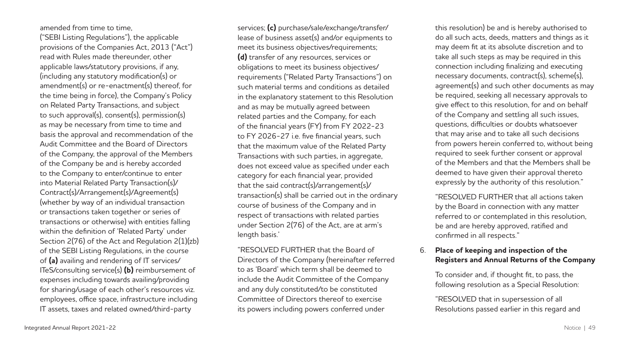amended from time to time,

("SEBI Listing Regulations"), the applicable provisions of the Companies Act, 2013 ("Act") read with Rules made thereunder, other applicable laws/statutory provisions, if any, (including any statutory modification(s) or amendment(s) or re-enactment(s) thereof, for the time being in force), the Company's Policy on Related Party Transactions, and subject to such approval(s), consent(s), permission(s) as may be necessary from time to time and basis the approval and recommendation of the Audit Committee and the Board of Directors of the Company, the approval of the Members of the Company be and is hereby accorded to the Company to enter/continue to enter into Material Related Party Transaction(s)/ Contract(s)/Arrangement(s)/Agreement(s) (whether by way of an individual transaction or transactions taken together or series of transactions or otherwise) with entities falling within the definition of 'Related Party' under Section 2(76) of the Act and Regulation 2(1)(zb) of the SEBI Listing Regulations, in the course of **(a)** availing and rendering of IT services/ ITeS/consulting service(s) **(b)** reimbursement of expenses including towards availing/providing for sharing/usage of each other's resources viz. employees, office space, infrastructure including IT assets, taxes and related owned/third-party

services; **(c)** purchase/sale/exchange/transfer/ lease of business asset(s) and/or equipments to meet its business objectives/requirements; **(d)** transfer of any resources, services or obligations to meet its business objectives/ requirements ("Related Party Transactions") on such material terms and conditions as detailed in the explanatory statement to this Resolution and as may be mutually agreed between related parties and the Company, for each of the financial years (FY) from FY 2022-23 to FY 2026-27 i.e. five financial years, such that the maximum value of the Related Party Transactions with such parties, in aggregate, does not exceed value as specified under each category for each financial year, provided that the said contract(s)/arrangement(s)/ transaction(s) shall be carried out in the ordinary course of business of the Company and in respect of transactions with related parties under Section 2(76) of the Act, are at arm's length basis.'

"RESOLVED FURTHER that the Board of Directors of the Company (hereinafter referred to as 'Board' which term shall be deemed to include the Audit Committee of the Company and any duly constituted/to be constituted Committee of Directors thereof to exercise its powers including powers conferred under

this resolution) be and is hereby authorised to do all such acts, deeds, matters and things as it may deem fit at its absolute discretion and to take all such steps as may be required in this connection including finalizing and executing necessary documents, contract(s), scheme(s), agreement(s) and such other documents as may be required, seeking all necessary approvals to give effect to this resolution, for and on behalf of the Company and settling all such issues, questions, difficulties or doubts whatsoever that may arise and to take all such decisions from powers herein conferred to, without being required to seek further consent or approval of the Members and that the Members shall be deemed to have given their approval thereto expressly by the authority of this resolution."

"RESOLVED FURTHER that all actions taken by the Board in connection with any matter referred to or contemplated in this resolution, be and are hereby approved, ratified and confirmed in all respects."

### 6. **Place of keeping and inspection of the Registers and Annual Returns of the Company**

To consider and, if thought fit, to pass, the following resolution as a Special Resolution:

"RESOLVED that in supersession of all Resolutions passed earlier in this regard and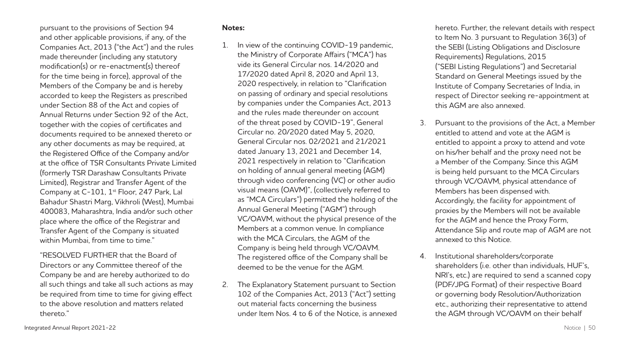pursuant to the provisions of Section 94 and other applicable provisions, if any, of the Companies Act, 2013 ("the Act") and the rules made thereunder (including any statutory modification(s) or re-enactment(s) thereof for the time being in force), approval of the Members of the Company be and is hereby accorded to keep the Registers as prescribed under Section 88 of the Act and copies of Annual Returns under Section 92 of the Act, together with the copies of certificates and documents required to be annexed thereto or any other documents as may be required, at the Registered Office of the Company and/or at the office of TSR Consultants Private Limited (formerly TSR Darashaw Consultants Private Limited), Registrar and Transfer Agent of the Company at C-101, 1<sup>st</sup> Floor, 247 Park, Lal Bahadur Shastri Marg, Vikhroli (West), Mumbai 400083, Maharashtra, India and/or such other place where the office of the Registrar and Transfer Agent of the Company is situated within Mumbai, from time to time."

"RESOLVED FURTHER that the Board of Directors or any Committee thereof of the Company be and are hereby authorized to do all such things and take all such actions as may be required from time to time for giving effect to the above resolution and matters related thereto."

### **Notes:**

- 1. In view of the continuing COVID-19 pandemic, the Ministry of Corporate Affairs ("MCA") has vide its General Circular nos. 14/2020 and 17/2020 dated April 8, 2020 and April 13, 2020 respectively, in relation to "Clarification on passing of ordinary and special resolutions by companies under the Companies Act, 2013 and the rules made thereunder on account of the threat posed by COVID-19", General Circular no. 20/2020 dated May 5, 2020, General Circular nos. 02/2021 and 21/2021 dated January 13, 2021 and December 14, 2021 respectively in relation to "Clarification on holding of annual general meeting (AGM) through video conferencing (VC) or other audio visual means (OAVM)", (collectively referred to as "MCA Circulars") permitted the holding of the Annual General Meeting ("AGM") through VC/OAVM, without the physical presence of the Members at a common venue. In compliance with the MCA Circulars, the AGM of the Company is being held through VC/OAVM. The registered office of the Company shall be deemed to be the venue for the AGM.
- 2. The Explanatory Statement pursuant to Section 102 of the Companies Act, 2013 ("Act") setting out material facts concerning the business under Item Nos. 4 to 6 of the Notice, is annexed

hereto. Further, the relevant details with respect to Item No. 3 pursuant to Regulation 36(3) of the SEBI (Listing Obligations and Disclosure Requirements) Regulations, 2015 ("SEBI Listing Regulations") and Secretarial Standard on General Meetings issued by the Institute of Company Secretaries of India, in respect of Director seeking re-appointment at this AGM are also annexed.

- 3. Pursuant to the provisions of the Act, a Member entitled to attend and vote at the AGM is entitled to appoint a proxy to attend and vote on his/her behalf and the proxy need not be a Member of the Company. Since this AGM is being held pursuant to the MCA Circulars through VC/OAVM, physical attendance of Members has been dispensed with. Accordingly, the facility for appointment of proxies by the Members will not be available for the AGM and hence the Proxy Form, Attendance Slip and route map of AGM are not annexed to this Notice.
- 4. Institutional shareholders/corporate shareholders (i.e. other than individuals, HUF's, NRI's, etc.) are required to send a scanned copy (PDF/JPG Format) of their respective Board or governing body Resolution/Authorization etc., authorizing their representative to attend the AGM through VC/OAVM on their behalf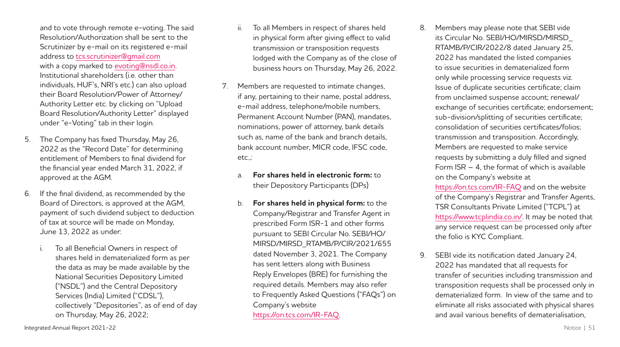and to vote through remote e-voting. The said Resolution/Authorization shall be sent to the Scrutinizer by e-mail on its registered e-mail address to [tcs.scrutinizer](mailto:tcs.scrutinizer@gmail.com)**@**gmail.com with a copy marked to evoting**@**[nsdl.co.in.](mailto:evoting@nsdl.co.in) Institutional shareholders (i.e. other than individuals, HUF's, NRI's etc.) can also upload their Board Resolution/Power of Attorney/ Authority Letter etc. by clicking on "Upload Board Resolution/Authority Letter" displayed under "e-Voting" tab in their login.

- 5. The Company has fixed Thursday, May 26, 2022 as the "Record Date" for determining entitlement of Members to final dividend for the financial year ended March 31, 2022, if approved at the AGM.
- 6. If the final dividend, as recommended by the Board of Directors, is approved at the AGM, payment of such dividend subject to deduction of tax at source will be made on Monday, June 13, 2022 as under:
	- To all Beneficial Owners in respect of shares held in dematerialized form as per the data as may be made available by the National Securities Depository Limited ("NSDL") and the Central Depository Services (India) Limited ("CDSL"), collectively "Depositories", as of end of day on Thursday, May 26, 2022;
- ii. To all Members in respect of shares held in physical form after giving effect to valid transmission or transposition requests lodged with the Company as of the close of business hours on Thursday, May 26, 2022.
- 7. Members are requested to intimate changes, if any, pertaining to their name, postal address, e-mail address, telephone/mobile numbers, Permanent Account Number (PAN), mandates, nominations, power of attorney, bank details such as, name of the bank and branch details, bank account number, MICR code, IFSC code, etc.,:
	- a. **For shares held in electronic form:** to their Depository Participants (DPs)
	- b. **For shares held in physical form:** to the Company/Registrar and Transfer Agent in prescribed Form ISR-1 and other forms pursuant to SEBI Circular No. SEBI/HO/ MIRSD/MIRSD\_RTAMB/P/CIR/2021/655 dated November 3, 2021. The Company has sent letters along with Business Reply Envelopes (BRE) for furnishing the required details. Members may also refer to Frequently Asked Questions ("FAQs") on Company's website [https://on.tcs.com/IR-](https://on.tcs.com/IR-FAQ)FAQ.
- 8. Members may please note that SEBI vide its Circular No. SEBI/HO/MIRSD/MIRSD\_ RTAMB/P/CIR/2022/8 dated January 25, 2022 has mandated the listed companies to issue securities in dematerialized form only while processing service requests viz. Issue of duplicate securities certificate; claim from unclaimed suspense account; renewal/ exchange of securities certificate; endorsement; sub-division/splitting of securities certificate; consolidation of securities certificates/folios; transmission and transposition. Accordingly, Members are requested to make service requests by submitting a duly filled and signed Form ISR – 4, the format of which is available on the Company's website at [https://on.tcs.com/IR](https://on.tcs.com/IR-FAQ)-FAQ and on the website of the Company's Registrar and Transfer Agents, TSR Consultants Private Limited ("TCPL") at <https://www.tcplindia.co.in>/. It may be noted that any service request can be processed only after the folio is KYC Compliant.
- 9. SEBI vide its notification dated January 24, 2022 has mandated that all requests for transfer of securities including transmission and transposition requests shall be processed only in dematerialized form. In view of the same and to eliminate all risks associated with physical shares and avail various benefits of dematerialisation,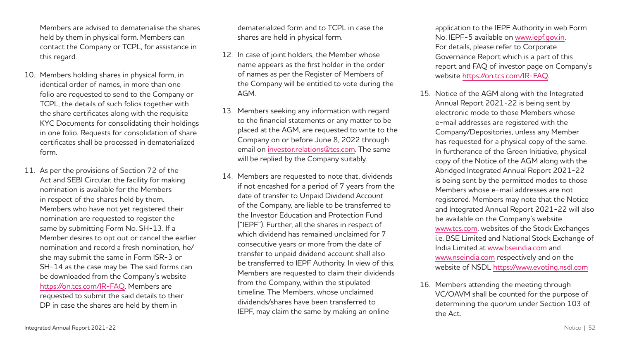Members are advised to dematerialise the shares held by them in physical form. Members can contact the Company or TCPL, for assistance in this regard.

- 10. Members holding shares in physical form, in identical order of names, in more than one folio are requested to send to the Company or TCPL, the details of such folios together with the share certificates along with the requisite KYC Documents for consolidating their holdings in one folio. Requests for consolidation of share certificates shall be processed in dematerialized form.
- 11. As per the provisions of Section 72 of the Act and SEBI Circular, the facility for making nomination is available for the Members in respect of the shares held by them. Members who have not yet registered their nomination are requested to register the same by submitting Form No. SH-13. If a Member desires to opt out or cancel the earlier nomination and record a fresh nomination, he/ she may submit the same in Form ISR-3 or SH-14 as the case may be. The said forms can be downloaded from the Company's website [https://on.tcs.com/IR](https://on.tcs.com/IR-FAQ)-FAQ. Members are requested to submit the said details to their DP in case the shares are held by them in

dematerialized form and to TCPL in case the shares are held in physical form.

- 12. In case of joint holders, the Member whose name appears as the first holder in the order of names as per the Register of Members of the Company will be entitled to vote during the AGM.
- 13. Members seeking any information with regard to the financial statements or any matter to be placed at the AGM, are requested to write to the Company on or before June 8, 2022 through email on investor relations@tcs.com. The same will be replied by the Company suitably.
- 14. Members are requested to note that, dividends if not encashed for a period of 7 years from the date of transfer to Unpaid Dividend Account of the Company, are liable to be transferred to the Investor Education and Protection Fund ("IEPF"). Further, all the shares in respect of which dividend has remained unclaimed for 7 consecutive years or more from the date of transfer to unpaid dividend account shall also be transferred to IEPF Authority. In view of this, Members are requested to claim their dividends from the Company, within the stipulated timeline. The Members, whose unclaimed dividends/shares have been transferred to IEPF, may claim the same by making an online

application to the IEPF Authority in web Form No. IEPF-5 available on [www.iepf.gov.in.](www.iepf.gov.in) For details, please refer to Corporate Governance Report which is a part of this report and FAQ of investor page on Company's website [https://on.tcs.com/IR-](https://on.tcs.com/IR-FAQ)FAQ.

- 15. Notice of the AGM along with the Integrated Annual Report 2021-22 is being sent by electronic mode to those Members whose e-mail addresses are registered with the Company/Depositories, unless any Member has requested for a physical copy of the same. In furtherance of the Green Initiative, physical copy of the Notice of the AGM along with the Abridged Integrated Annual Report 2021-22 is being sent by the permitted modes to those Members whose e-mail addresses are not registered. Members may note that the Notice and Integrated Annual Report 2021-22 will also be available on the Company's website <www.tcs.com>, websites of the Stock Exchanges i.e. BSE Limited and National Stock Exchange of India Limited at<www.bseindia.com> and <www.nseindia.com>respectively and on the website of NSDL <https://www.evoting.nsdl.com>
- 16. Members attending the meeting through VC/OAVM shall be counted for the purpose of determining the quorum under Section 103 of the Act.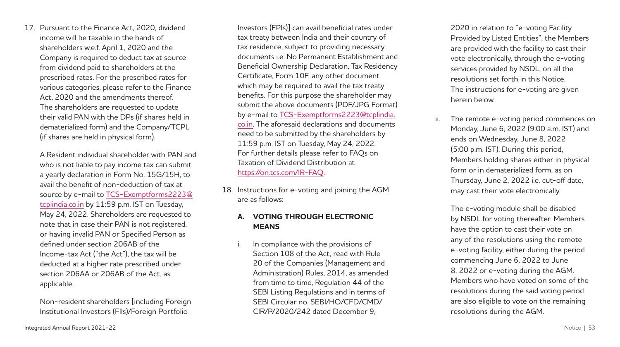17. Pursuant to the Finance Act, 2020, dividend income will be taxable in the hands of shareholders w.e.f. April 1, 2020 and the Company is required to deduct tax at source from dividend paid to shareholders at the prescribed rates. For the prescribed rates for various categories, please refer to the Finance Act, 2020 and the amendments thereof. The shareholders are requested to update their valid PAN with the DPs (if shares held in dematerialized form) and the Company/TCPL (if shares are held in physical form).

A Resident individual shareholder with PAN and who is not liable to pay income tax can submit a yearly declaration in Form No. 15G/15H, to avail the benefit of non-deduction of tax at source by e-mail to [TCS-Exemptforms2223](mailto:TCS-Exemptforms2223@tcplindia.co.in)**@** [tcplindia.co.in](mailto:TCS-Exemptforms2223@tcplindia.co.in) by 11:59 p.m. IST on Tuesday, May 24, 2022. Shareholders are requested to note that in case their PAN is not registered, or having invalid PAN or Specified Person as defined under section 206AB of the Income-tax Act ("the Act"), the tax will be deducted at a higher rate prescribed under section 206AA or 206AB of the Act, as applicable.

Non-resident shareholders [including Foreign Institutional Investors (FIIs)/Foreign Portfolio

Investors (FPIs)] can avail beneficial rates under tax treaty between India and their country of tax residence, subject to providing necessary documents i.e. No Permanent Establishment and Beneficial Ownership Declaration, Tax Residency Certificate, Form 10F, any other document which may be required to avail the tax treaty benefits. For this purpose the shareholder may submit the above documents (PDF/JPG Format) by e-mail to [TCS-Exemptforms2223](mailto:TCS-Exemptforms2223@tcplindia.co.in)**@**tcplindia. [co.in.](mailto:TCS-Exemptforms2223@tcplindia.co.in) The aforesaid declarations and documents need to be submitted by the shareholders by 11:59 p.m. IST on Tuesday, May 24, 2022. For further details please refer to FAQs on Taxation of Dividend Distribution at [https://on.tcs.com/IR-](https://on.tcs.com/IR-FAQ)FAQ.

18. Instructions for e-voting and joining the AGM are as follows:

### **A. VOTING THROUGH ELECTRONIC MEANS**

i. In compliance with the provisions of Section 108 of the Act, read with Rule 20 of the Companies (Management and Administration) Rules, 2014, as amended from time to time, Regulation 44 of the SEBI Listing Regulations and in terms of SEBI Circular no. SEBI/HO/CFD/CMD/ CIR/P/2020/242 dated December 9,

2020 in relation to "e-voting Facility Provided by Listed Entities", the Members are provided with the facility to cast their vote electronically, through the e-voting services provided by NSDL, on all the resolutions set forth in this Notice. The instructions for e-voting are given herein below.

The remote e-voting period commences on Monday, June 6, 2022 (9:00 a.m. IST) and ends on Wednesday, June 8, 2022 (5:00 p.m. IST). During this period, Members holding shares either in physical form or in dematerialized form, as on Thursday, June 2, 2022 i.e. cut-off date, may cast their vote electronically.

The e-voting module shall be disabled by NSDL for voting thereafter. Members have the option to cast their vote on any of the resolutions using the remote e-voting facility, either during the period commencing June 6, 2022 to June 8, 2022 or e-voting during the AGM. Members who have voted on some of the resolutions during the said voting period are also eligible to vote on the remaining resolutions during the AGM.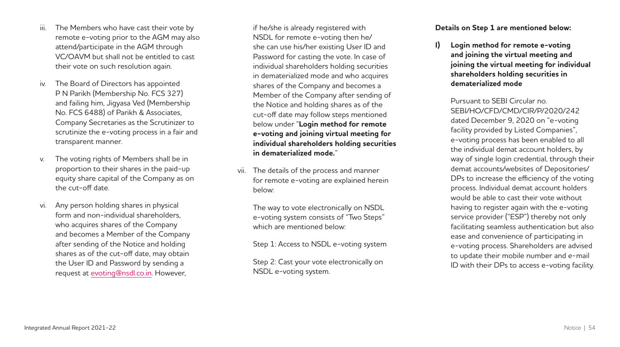- iii. The Members who have cast their vote by remote e-voting prior to the AGM may also attend/participate in the AGM through VC/OAVM but shall not be entitled to cast their vote on such resolution again.
- The Board of Directors has appointed P N Parikh (Membership No. FCS 327) and failing him, Jigyasa Ved (Membership No. FCS 6488) of Parikh & Associates, Company Secretaries as the Scrutinizer to scrutinize the e-voting process in a fair and transparent manner.
- The voting rights of Members shall be in proportion to their shares in the paid-up equity share capital of the Company as on the cut-off date.
- vi. Any person holding shares in physical form and non-individual shareholders, who acquires shares of the Company and becomes a Member of the Company after sending of the Notice and holding shares as of the cut-off date, may obtain the User ID and Password by sending a request at evoting**@**[nsdl.co.in](mailto:evoting@nsdl.co.in). However,

if he/she is already registered with NSDL for remote e-voting then he/ she can use his/her existing User ID and Password for casting the vote. In case of individual shareholders holding securities in dematerialized mode and who acquires shares of the Company and becomes a Member of the Company after sending of the Notice and holding shares as of the cut-off date may follow steps mentioned below under "**Login method for remote e-voting and joining virtual meeting for individual shareholders holding securities in dematerialized mode.**"

vii. The details of the process and manner for remote e-voting are explained herein below:

The way to vote electronically on NSDL e-voting system consists of "Two Steps" which are mentioned below:

Step 1: Access to NSDL e-voting system

Step 2: Cast your vote electronically on NSDL e-voting system.

**Details on Step 1 are mentioned below:**

**I) Login method for remote e-voting and joining the virtual meeting and joining the virtual meeting for individual shareholders holding securities in dematerialized mode**

Pursuant to SEBI Circular no. SEBI/HO/CFD/CMD/CIR/P/2020/242 dated December 9, 2020 on "e-voting facility provided by Listed Companies", e-voting process has been enabled to all the individual demat account holders, by way of single login credential, through their demat accounts/websites of Depositories/ DPs to increase the efficiency of the voting process. Individual demat account holders would be able to cast their vote without having to register again with the e-voting service provider ("ESP") thereby not only facilitating seamless authentication but also ease and convenience of participating in e-voting process. Shareholders are advised to update their mobile number and e-mail ID with their DPs to access e-voting facility.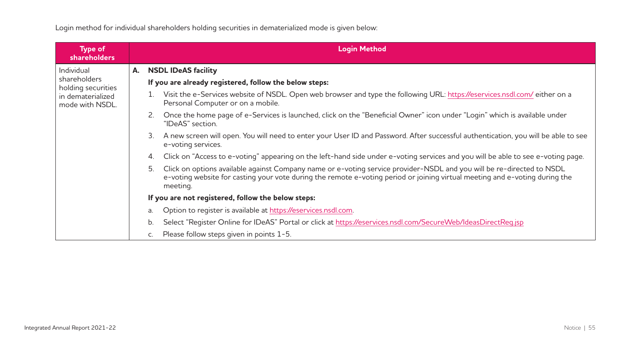Login method for individual shareholders holding securities in dematerialized mode is given below:

| <b>Type of</b><br><b>shareholders</b>              |    | <b>Login Method</b>                                                                                                                                                                                                                                                    |
|----------------------------------------------------|----|------------------------------------------------------------------------------------------------------------------------------------------------------------------------------------------------------------------------------------------------------------------------|
| Individual                                         | А. | <b>NSDL IDeAS facility</b>                                                                                                                                                                                                                                             |
| shareholders<br>holding securities                 |    | If you are already registered, follow the below steps:                                                                                                                                                                                                                 |
| in dematerialized<br>mode with NSDL.               |    | Visit the e-Services website of NSDL. Open web browser and type the following URL: https://eservices.nsdl.com/either on a<br>1.<br>Personal Computer or on a mobile.                                                                                                   |
|                                                    |    | 2. Once the home page of e-Services is launched, click on the "Beneficial Owner" icon under "Login" which is available under<br>"IDeAS" section.                                                                                                                       |
|                                                    |    | 3. A new screen will open. You will need to enter your User ID and Password. After successful authentication, you will be able to see<br>e-voting services.                                                                                                            |
|                                                    |    | Click on "Access to e-voting" appearing on the left-hand side under e-voting services and you will be able to see e-voting page.<br>4.                                                                                                                                 |
|                                                    |    | Click on options available against Company name or e-voting service provider-NSDL and you will be re-directed to NSDL<br>5.<br>e-voting website for casting your vote during the remote e-voting period or joining virtual meeting and e-voting during the<br>meeting. |
| If you are not registered, follow the below steps: |    |                                                                                                                                                                                                                                                                        |
|                                                    |    | Option to register is available at https://eservices.nsdl.com.<br>a.                                                                                                                                                                                                   |
|                                                    |    | Select "Register Online for IDeAS" Portal or click at https://eservices.nsdl.com/SecureWeb/IdeasDirectReg.jsp<br>b.                                                                                                                                                    |
|                                                    |    | Please follow steps given in points 1-5.<br>C.                                                                                                                                                                                                                         |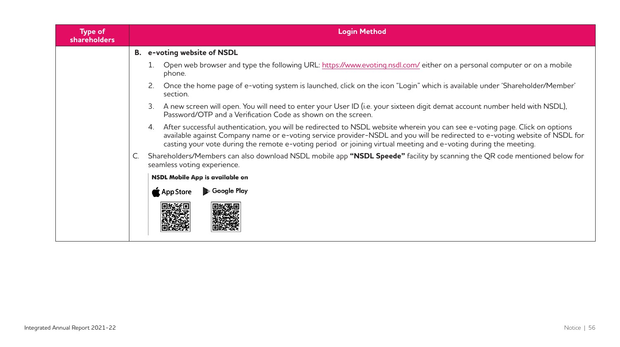| <b>Type of</b><br><b>shareholders</b> |                                                                                                                                                                                                                                                                                                                                                                                  | <b>Login Method</b>                                                                                                                                      |  |  |  |  |  |
|---------------------------------------|----------------------------------------------------------------------------------------------------------------------------------------------------------------------------------------------------------------------------------------------------------------------------------------------------------------------------------------------------------------------------------|----------------------------------------------------------------------------------------------------------------------------------------------------------|--|--|--|--|--|
|                                       |                                                                                                                                                                                                                                                                                                                                                                                  | B. e-voting website of NSDL                                                                                                                              |  |  |  |  |  |
|                                       |                                                                                                                                                                                                                                                                                                                                                                                  | Open web browser and type the following URL: https://www.evoting.nsdl.com/either on a personal computer or on a mobile<br>phone.                         |  |  |  |  |  |
|                                       |                                                                                                                                                                                                                                                                                                                                                                                  | Once the home page of e-voting system is launched, click on the icon "Login" which is available under 'Shareholder/Member'<br>section.                   |  |  |  |  |  |
|                                       | A new screen will open. You will need to enter your User ID (i.e. your sixteen digit demat account number held with NSDL),<br>3.<br>Password/OTP and a Verification Code as shown on the screen.                                                                                                                                                                                 |                                                                                                                                                          |  |  |  |  |  |
|                                       | 4. After successful authentication, you will be redirected to NSDL website wherein you can see e-voting page. Click on options<br>available against Company name or e-voting service provider-NSDL and you will be redirected to e-voting website of NSDL for<br>casting your vote during the remote e-voting period or joining virtual meeting and e-voting during the meeting. |                                                                                                                                                          |  |  |  |  |  |
|                                       |                                                                                                                                                                                                                                                                                                                                                                                  | Shareholders/Members can also download NSDL mobile app "NSDL Speede" facility by scanning the QR code mentioned below for<br>seamless voting experience. |  |  |  |  |  |
|                                       |                                                                                                                                                                                                                                                                                                                                                                                  | NSDL Mobile App is available on                                                                                                                          |  |  |  |  |  |
|                                       |                                                                                                                                                                                                                                                                                                                                                                                  | Google Play<br>App Store                                                                                                                                 |  |  |  |  |  |
|                                       |                                                                                                                                                                                                                                                                                                                                                                                  |                                                                                                                                                          |  |  |  |  |  |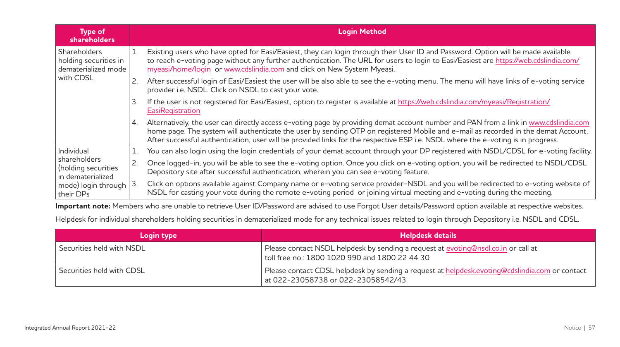| <b>Type of</b><br>shareholders                                      |    | <b>Login Method</b>                                                                                                                                                                                                                                                                                                                                                                                           |
|---------------------------------------------------------------------|----|---------------------------------------------------------------------------------------------------------------------------------------------------------------------------------------------------------------------------------------------------------------------------------------------------------------------------------------------------------------------------------------------------------------|
| <b>Shareholders</b><br>holding securities in<br>dematerialized mode |    | Existing users who have opted for Easi/Easiest, they can login through their User ID and Password. Option will be made available<br>to reach e-voting page without any further authentication. The URL for users to login to Easi/Easiest are https://web.cdslindia.com/<br>myeasi/home/login or www.cdslindia.com and click on New System Myeasi.                                                            |
| with CDSL                                                           |    | After successful login of Easi/Easiest the user will be also able to see the e-voting menu. The menu will have links of e-voting service<br>provider i.e. NSDL. Click on NSDL to cast your vote.                                                                                                                                                                                                              |
|                                                                     | 3. | If the user is not registered for Easi/Easiest, option to register is available at https://web.cdslindia.com/myeasi/Registration/<br>EasiRegistration                                                                                                                                                                                                                                                         |
|                                                                     | 4. | Alternatively, the user can directly access e-voting page by providing demat account number and PAN from a link in www.cdslindia.com<br>home page. The system will authenticate the user by sending OTP on registered Mobile and e-mail as recorded in the demat Account.<br>After successful authentication, user will be provided links for the respective ESP i.e. NSDL where the e-voting is in progress. |
| Individual                                                          |    | You can also login using the login credentials of your demat account through your DP registered with NSDL/CDSL for e-voting facility.                                                                                                                                                                                                                                                                         |
| shareholders<br>(holding securities<br>in dematerialized            |    | Once logged-in, you will be able to see the e-voting option. Once you click on e-voting option, you will be redirected to NSDL/CDSL<br>Depository site after successful authentication, wherein you can see e-voting feature.                                                                                                                                                                                 |
| mode) login through<br>their DPs                                    | 3. | Click on options available against Company name or e-voting service provider-NSDL and you will be redirected to e-voting website of<br>NSDL for casting your vote during the remote e-voting period or joining virtual meeting and e-voting during the meeting.                                                                                                                                               |

**Important note:** Members who are unable to retrieve User ID/Password are advised to use Forgot User details/Password option available at respective websites.

Helpdesk for individual shareholders holding securities in dematerialized mode for any technical issues related to login through Depository i.e. NSDL and CDSL.

| Login type                | <b>Helpdesk details</b>                                                                                                              |
|---------------------------|--------------------------------------------------------------------------------------------------------------------------------------|
| Securities held with NSDL | Please contact NSDL helpdesk by sending a request at evoting@nsdl.co.in or call at<br>toll free no.: 1800 1020 990 and 1800 22 44 30 |
| Securities held with CDSL | Please contact CDSL helpdesk by sending a request at helpdesk.evoting@cdslindia.com or contact<br>at 022-23058738 or 022-23058542/43 |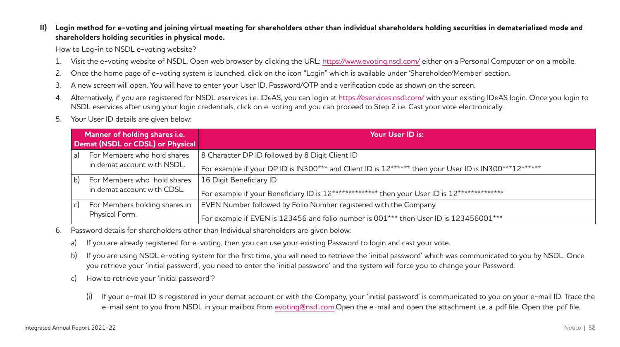### **II) Login method for e-voting and joining virtual meeting for shareholders other than individual shareholders holding securities in dematerialized mode and shareholders holding securities in physical mode.**

How to Log-in to NSDL e-voting website?

- 1. Visit the e-voting website of NSDL. Open web browser by clicking the URL: [https://www.evoting.nsdl.com/](https://www.evoting.nsdl.com) either on a Personal Computer or on a mobile.
- 2. Once the home page of e-voting system is launched, click on the icon "Login" which is available under 'Shareholder/Member' section.
- 3. A new screen will open. You will have to enter your User ID, Password/OTP and a verification code as shown on the screen.
- 4. Alternatively, if you are registered for NSDL eservices i.e. IDeAS, you can login at<https://eservices.nsdl.com>/ with your existing IDeAS login. Once you login to NSDL eservices after using your login credentials, click on e-voting and you can proceed to Step 2 i.e. Cast your vote electronically.
- 5. Your User ID details are given below:

|    | Manner of holding shares i.e.<br>Demat (NSDL or CDSL) or Physical | Your User ID is:                                                                                                                                          |
|----|-------------------------------------------------------------------|-----------------------------------------------------------------------------------------------------------------------------------------------------------|
| a) | For Members who hold shares<br>in demat account with NSDL.        | 8 Character DP ID followed by 8 Digit Client ID<br>For example if your DP ID is IN300*** and Client ID is 12****** then your User ID is IN300***12******  |
| b) | For Members who hold shares<br>in demat account with CDSL.        | 16 Digit Beneficiary ID<br>For example if your Beneficiary ID is 12************* then your User ID is 12**************                                    |
| C) | For Members holding shares in<br>Physical Form.                   | EVEN Number followed by Folio Number registered with the Company<br>For example if EVEN is 123456 and folio number is 001*** then User ID is 123456001*** |

- 6. Password details for shareholders other than Individual shareholders are given below:
	- a) If you are already registered for e-voting, then you can use your existing Password to login and cast your vote.
	- b) If you are using NSDL e-voting system for the first time, you will need to retrieve the 'initial password' which was communicated to you by NSDL. Once you retrieve your 'initial password', you need to enter the 'initial password' and the system will force you to change your Password.
	- c) How to retrieve your 'initial password'?
		- (i) If your e-mail ID is registered in your demat account or with the Company, your 'initial password' is communicated to you on your e-mail ID. Trace the e-mail sent to you from NSDL in your mailbox from evoting**@**[nsdl.com.Open](mailto:evoting@nsdl.com.Open) the e-mail and open the attachment i.e. a .pdf file. Open the .pdf file.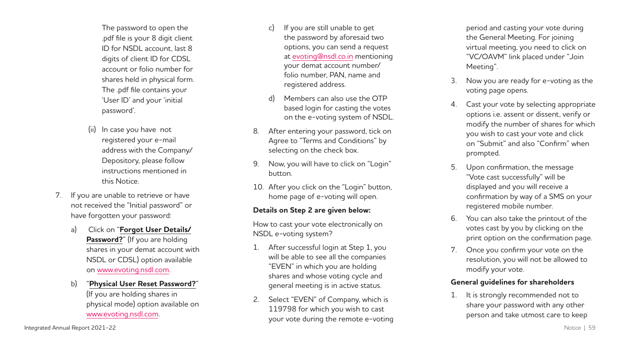The password to open the .pdf file is your 8 digit client ID for NSDL account, last 8 digits of client ID for CDSL account or folio number for shares held in physical form. The .pdf file contains your 'User ID' and your 'initial password'.

- (ii) In case you have not registered your e-mail address with the Company/ Depository, please follow instructions mentioned in this Notice.
- 7. If you are unable to retrieve or have not received the "Initial password" or have forgotten your password:
	- a) Click on "**Forgot User Details/** Password?" (If you are holding shares in your demat account with NSDL or CDSL) option available on <www.evoting.nsdl.com> .
	- b) "**Physical User Reset Password?**" (If you are holding shares in physical mode) option available on <www.evoting.nsdl.com> .
- c) If you are still unable to get the password by aforesaid two options, you can send a request at evoting **@**[nsdl.co.in](mailto:evoting@nsdl.co.in) mentioning your demat account number/ folio number, PAN, name and registered address.
- d) Members can also use the OTP based login for casting the votes on the e-voting system of NSDL.
- 8. After entering your password, tick on Agree to "Terms and Conditions" by selecting on the check box.
- 9. Now, you will have to click on "Login" button.
- 10. After you click on the "Login" button, home page of e-voting will open.

### **Details on Step 2 are given below:**

How to cast your vote electronically on NSDL e-voting system?

- 1. After successful login at Step 1, you will be able to see all the companies "EVEN" in which you are holding shares and whose voting cycle and general meeting is in active status.
- 2. Select "EVEN" of Company, which is 119798 for which you wish to cast your vote during the remote e-voting

period and casting your vote during the General Meeting. For joining virtual meeting, you need to click on "VC/OAVM" link placed under "Join Meeting".

- Now you are ready for e-voting as the voting page opens.
- 4. Cast your vote by selecting appropriate options i.e. assent or dissent, verify or modify the number of shares for which you wish to cast your vote and click on "Submit" and also "Confirm" when prompted.
- 5. Upon confirmation, the message "Vote cast successfully" will be displayed and you will receive a confirmation by way of a SMS on your registered mobile number.
- 6. You can also take the printout of the votes cast by you by clicking on the print option on the confirmation page.
- 7. Once you confirm your vote on the resolution, you will not be allowed to modify your vote.

### **General guidelines for shareholders**

1. It is strongly recommended not to share your password with any other person and take utmost care to keep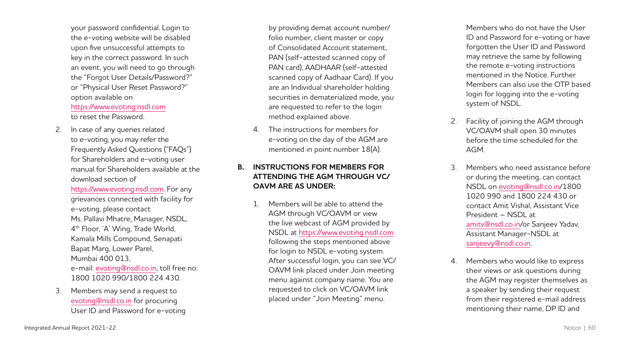your password confidential. Login to the e-voting website will be disabled upon five unsuccessful attempts to key in the correct password. In such an event, you will need to go through the "Forgot User Details/Password?" or "Physical User Reset Password?" option available on <https://www.evoting.nsdl.com> to reset the Password.

2. In case of any queries related to e-voting, you may refer the Frequently Asked Questions ("FAQs") for Shareholders and e-voting user manual for Shareholders available at the download section of

<https://www.evoting.nsdl.com>. For any grievances connected with facility for e-voting, please contact Ms. Pallavi Mhatre, Manager, NSDL, 4th Floor, 'A' Wing, Trade World, Kamala Mills Compound, Senapati Bapat Marg, Lower Parel, Mumbai 400 013, e-mail: evoting **@**[nsdl.co.in,](mailto:evoting@nsdl.co.in) toll free no: 1800 1020 990/1800 224 430.

3. Members may send a request to evoting **@**[nsdl.co.in](mailto:evoting@nsdl.co.in) for procuring User ID and Password for e-voting

by providing demat account number/ folio number, client master or copy of Consolidated Account statement, PAN (self-attested scanned copy of PAN card), AADHAAR (self-attested scanned copy of Aadhaar Card). If you are an Individual shareholder holding securities in dematerialized mode, you are requested to refer to the login method explained above.

4. The instructions for members for e-voting on the day of the AGM are mentioned in point number 18(A).

### **B. INSTRUCTIONS FOR MEMBERS FOR ATTENDING THE AGM THROUGH VC/ OAVM ARE AS UNDER:**

1. Members will be able to attend the AGM through VC/OAVM or view the live webcast of AGM provided by NSDL at <https://www.evoting.nsdl.com> following the steps mentioned above for login to NSDL e-voting system. After successful login, you can see VC/ OAVM link placed under Join meeting menu against company name. You are requested to click on VC/OAVM link placed under "Join Meeting" menu.

Members who do not have the User ID and Password for e-voting or have forgotten the User ID and Password may retrieve the same by following the remote e-voting instructions mentioned in the Notice. Further Members can also use the OTP based login for logging into the e-voting system of NSDL.

- 2. Facility of joining the AGM through VC/OAVM shall open 30 minutes before the time scheduled for the AGM.
- 3. Members who need assistance before or during the meeting, can contact NSDL on evoting **@**[nsdl.co.in/](mailto:evoting@nsdl.co.in)1800 1020 990 and 1800 224 430 or contact Amit Vishal, Assistant Vice President – NSDL at amitv **@**[nsdl.co.in](mailto:amitv@nsdl.co.in)/or Sanjeev Yadav, Assistant Manager-NSDL at sanjeevy **@**[nsdl.co.in](mailto:sanjeevy@nsdl.co.in) .
- 4. Members who would like to express their views or ask questions during the AGM may register themselves as a speaker by sending their request from their registered e-mail address mentioning their name, DP ID and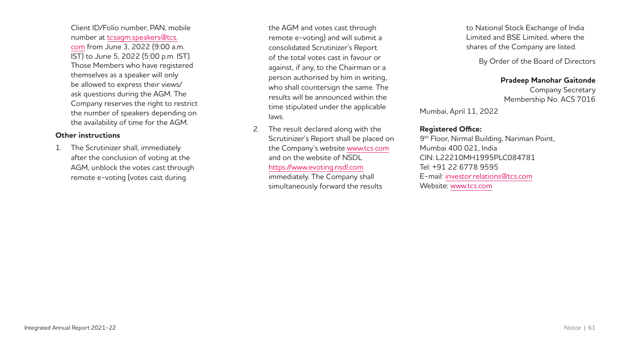Client ID/Folio number, PAN, mobile number at [tcsagm.speakers](mailto:tcsagm.speakers@tcs.com)**@**tcs. [com](mailto:tcsagm.speakers@tcs.com) from June 3, 2022 (9:00 a.m. IST) to June 5, 2022 (5:00 p.m. IST). Those Members who have registered themselves as a speaker will only be allowed to express their views/ ask questions during the AGM. The Company reserves the right to restrict the number of speakers depending on the availability of time for the AGM.

### **Other instructions**

1. The Scrutinizer shall, immediately after the conclusion of voting at the AGM, unblock the votes cast through remote e-voting (votes cast during

the AGM and votes cast through remote e-voting) and will submit a consolidated Scrutinizer's Report of the total votes cast in favour or against, if any, to the Chairman or a person authorised by him in writing, who shall countersign the same. The results will be announced within the time stipulated under the applicable laws.

2. The result declared along with the Scrutinizer's Report shall be placed on the Company's website <www.tcs.com> and on the website of NSDL <https://www.evoting.nsdl.com>

immediately. The Company shall simultaneously forward the results to National Stock Exchange of India Limited and BSE Limited, where the shares of the Company are listed.

By Order of the Board of Directors

### **Pradeep Manohar Gaitonde**

Company Secretary Membership No. ACS 7016

Mumbai, April 11, 2022

### **Registered Office:**

9th Floor, Nirmal Building, Nariman Point, Mumbai 400 021, India CIN: L22210MH1995PLC084781 Tel: +91 22 6778 9595 E-mail: [investor.relations](mailto:investor.relations@tcs.com)**@**tcs.com Website: [www.tcs.com](http://www.tcs.com/)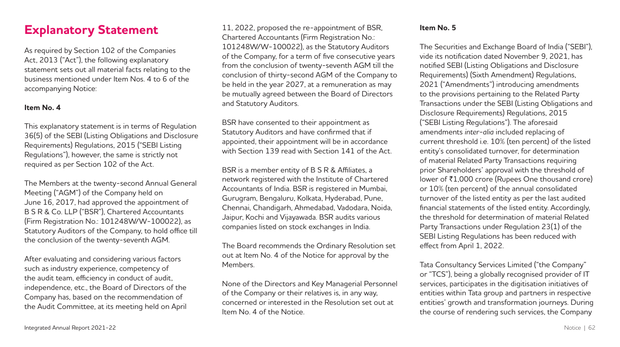# **Explanatory Statement**

As required by Section 102 of the Companies Act, 2013 ("Act"), the following explanatory statement sets out all material facts relating to the business mentioned under Item Nos. 4 to 6 of the accompanying Notice:

### **Item No. 4**

This explanatory statement is in terms of Regulation 36(5) of the SEBI (Listing Obligations and Disclosure Requirements) Regulations, 2015 ("SEBI Listing Regulations"), however, the same is strictly not required as per Section 102 of the Act.

The Members at the twenty-second Annual General Meeting ("AGM") of the Company held on June 16, 2017, had approved the appointment of B S R & Co. LLP ("BSR"), Chartered Accountants (Firm Registration No.: 101248W/W-100022), as Statutory Auditors of the Company, to hold office till the conclusion of the twenty-seventh AGM.

After evaluating and considering various factors such as industry experience, competency of the audit team, efficiency in conduct of audit, independence, etc., the Board of Directors of the Company has, based on the recommendation of the Audit Committee, at its meeting held on April

11, 2022, proposed the re-appointment of BSR, Chartered Accountants (Firm Registration No.: 101248W/W-100022), as the Statutory Auditors of the Company, for a term of five consecutive years from the conclusion of twenty-seventh AGM till the conclusion of thirty-second AGM of the Company to be held in the year 2027, at a remuneration as may be mutually agreed between the Board of Directors and Statutory Auditors.

BSR have consented to their appointment as Statutory Auditors and have confirmed that if appointed, their appointment will be in accordance with Section 139 read with Section 141 of the Act.

BSR is a member entity of B S R & Affiliates, a network registered with the Institute of Chartered Accountants of India. BSR is registered in Mumbai, Gurugram, Bengaluru, Kolkata, Hyderabad, Pune, Chennai, Chandigarh, Ahmedabad, Vadodara, Noida, Jaipur, Kochi and Vijayawada. BSR audits various companies listed on stock exchanges in India.

The Board recommends the Ordinary Resolution set out at Item No. 4 of the Notice for approval by the Members.

None of the Directors and Key Managerial Personnel of the Company or their relatives is, in any way, concerned or interested in the Resolution set out at Item No. 4 of the Notice.

### **Item No. 5**

The Securities and Exchange Board of India ("SEBI"), vide its notification dated November 9, 2021, has notified SEBI (Listing Obligations and Disclosure Requirements) (Sixth Amendment) Regulations, 2021 ("Amendments") introducing amendments to the provisions pertaining to the Related Party Transactions under the SEBI (Listing Obligations and Disclosure Requirements) Regulations, 2015 ("SEBI Listing Regulations"). The aforesaid amendments *inter-alia* included replacing of current threshold i.e. 10% (ten percent) of the listed entity's consolidated turnover, for determination of material Related Party Transactions requiring prior Shareholders' approval with the threshold of lower of ₹1,000 crore (Rupees One thousand crore) or 10% (ten percent) of the annual consolidated turnover of the listed entity as per the last audited financial statements of the listed entity. Accordingly, the threshold for determination of material Related Party Transactions under Regulation 23(1) of the SEBI Listing Regulations has been reduced with effect from April 1, 2022.

Tata Consultancy Services Limited ("the Company" or "TCS"), being a globally recognised provider of IT services, participates in the digitisation initiatives of entities within Tata group and partners in respective entities' growth and transformation journeys. During the course of rendering such services, the Company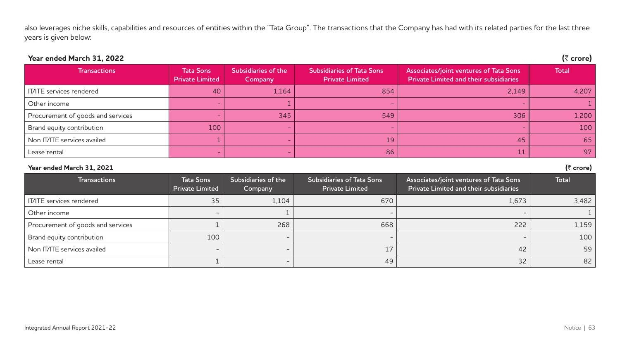also leverages niche skills, capabilities and resources of entities within the "Tata Group". The transactions that the Company has had with its related parties for the last three years is given below:

## **Year ended March 31, 2022 (**` **crore)**

| <b>Transactions</b>               | <b>Tata Sons</b><br><b>Private Limited</b> | Subsidiaries of the<br>Company | Subsidiaries of Tata Sons<br><b>Private Limited</b> | Associates/joint ventures of Tata Sons<br><b>Private Limited and their subsidiaries</b> | <b>Total</b> |
|-----------------------------------|--------------------------------------------|--------------------------------|-----------------------------------------------------|-----------------------------------------------------------------------------------------|--------------|
| IT/ITE services rendered          | 40                                         | 1.164                          | 854                                                 | 2.149                                                                                   | 4.207        |
| Other income                      |                                            |                                |                                                     |                                                                                         |              |
| Procurement of goods and services |                                            | 345                            | 549                                                 | 306                                                                                     | 1,200        |
| Brand equity contribution         | 100                                        |                                |                                                     |                                                                                         | 100          |
| Non IT/ITE services availed       |                                            |                                | 19                                                  | 45                                                                                      | 65           |
| Lease rental                      |                                            |                                | 86                                                  |                                                                                         | 97           |

| Year ended March 31, 2021 |  |  |  |
|---------------------------|--|--|--|
|---------------------------|--|--|--|

| Year ended March 31, 2021         |                                     |                                |                                                     |                                                                                  | (₹ crore)    |
|-----------------------------------|-------------------------------------|--------------------------------|-----------------------------------------------------|----------------------------------------------------------------------------------|--------------|
| <b>Transactions</b>               | Tata Sons<br><b>Private Limited</b> | Subsidiaries of the<br>Company | Subsidiaries of Tata Sons<br><b>Private Limited</b> | Associates/joint ventures of Tata Sons<br>Private Limited and their subsidiaries | <b>Total</b> |
| <b>IT/ITE</b> services rendered   | 35                                  | 1,104                          | 670                                                 | 1,673                                                                            | 3,482        |
| Other income                      |                                     |                                |                                                     |                                                                                  |              |
| Procurement of goods and services |                                     | 268                            | 668                                                 | 222                                                                              | 1,159        |
| Brand equity contribution         | 100                                 |                                |                                                     |                                                                                  | 100          |
| Non IT/ITE services availed       | $\overline{\phantom{0}}$            |                                | 17                                                  | 42                                                                               | 59           |
| Lease rental                      |                                     |                                | 49                                                  | 32                                                                               | 82           |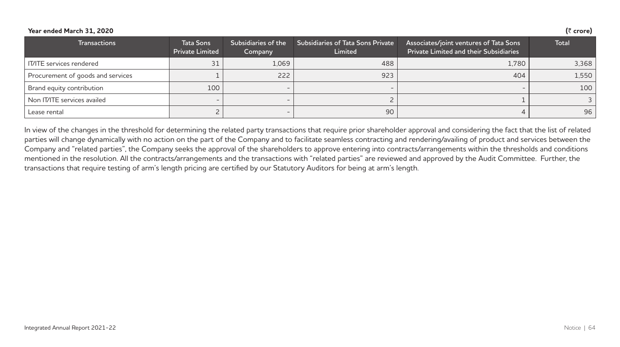### **Year ended March 31, 2020 (**` **crore)**

| <b>Transactions</b>               | <b>Tata Sons</b><br><b>Private Limited</b> | Subsidiaries of the<br>Company | <b>Subsidiaries of Tata Sons Private</b><br>Limited | Associates/joint ventures of Tata Sons<br><b>Private Limited and their Subsidiaries</b> | Total |
|-----------------------------------|--------------------------------------------|--------------------------------|-----------------------------------------------------|-----------------------------------------------------------------------------------------|-------|
| IT/ITE services rendered          | 31                                         | 1.069                          | 488                                                 | 1.780                                                                                   | 3,368 |
| Procurement of goods and services |                                            | 222                            | 923                                                 | 404                                                                                     | 1,550 |
| Brand equity contribution         | 100                                        | $\overline{\phantom{0}}$       | $\overline{\phantom{0}}$                            |                                                                                         | 100   |
| Non IT/ITE services availed       |                                            |                                |                                                     |                                                                                         |       |
| Lease rental                      |                                            |                                | 90                                                  |                                                                                         | 96    |

In view of the changes in the threshold for determining the related party transactions that require prior shareholder approval and considering the fact that the list of related parties will change dynamically with no action on the part of the Company and to facilitate seamless contracting and rendering/availing of product and services between the Company and "related parties", the Company seeks the approval of the shareholders to approve entering into contracts/arrangements within the thresholds and conditions mentioned in the resolution. All the contracts/arrangements and the transactions with "related parties" are reviewed and approved by the Audit Committee. Further, the transactions that require testing of arm's length pricing are certified by our Statutory Auditors for being at arm's length.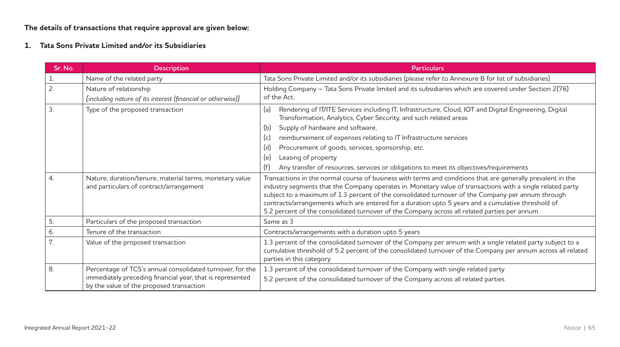**The details of transactions that require approval are given below:**

**1. Tata Sons Private Limited and/or its Subsidiaries**

| Sr. No.          | <b>Description</b>                                                                                                                                                 | Particulars                                                                                                                                                                                                                                                                                                                                                                                                                                                                                                                           |
|------------------|--------------------------------------------------------------------------------------------------------------------------------------------------------------------|---------------------------------------------------------------------------------------------------------------------------------------------------------------------------------------------------------------------------------------------------------------------------------------------------------------------------------------------------------------------------------------------------------------------------------------------------------------------------------------------------------------------------------------|
|                  | Name of the related party                                                                                                                                          | Tata Sons Private Limited and/or its subsidiaries (please refer to Annexure B for list of subsidiaries)                                                                                                                                                                                                                                                                                                                                                                                                                               |
| 2.               | Nature of relationship<br>[including nature of its interest (financial or otherwise)]                                                                              | Holding Company - Tata Sons Private limited and its subsidiaries which are covered under Section 2(76)<br>of the Act.                                                                                                                                                                                                                                                                                                                                                                                                                 |
| $\overline{3}$ . | Type of the proposed transaction                                                                                                                                   | (a)<br>Rendering of IT/ITE Services including IT, Infrastructure, Cloud, IOT and Digital Engineering, Digital<br>Transformation, Analytics, Cyber Security, and such related areas<br>Supply of hardware and software,<br>(b)<br>(c)<br>reimbursement of expenses relating to IT Infrastructure services<br>(d)<br>Procurement of goods, services, sponsorship, etc.<br>(e)<br>Leasing of property<br>Any transfer of resources, services or obligations to meet its objectives/requirements<br>(f)                                   |
| $\overline{4}$ . | Nature, duration/tenure, material terms, monetary value<br>and particulars of contract/arrangement                                                                 | Transactions in the normal course of business with terms and conditions that are generally prevalent in the<br>industry segments that the Company operates in. Monetary value of transactions with a single related party<br>subject to a maximum of 1.3 percent of the consolidated turnover of the Company per annum through<br>contracts/arrangements which are entered for a duration upto 5 years and a cumulative threshold of<br>5.2 percent of the consolidated turnover of the Company across all related parties per annum. |
| 5.               | Particulars of the proposed transaction                                                                                                                            | Same as 3                                                                                                                                                                                                                                                                                                                                                                                                                                                                                                                             |
| 6.               | Tenure of the transaction                                                                                                                                          | Contracts/arrangements with a duration upto 5 years                                                                                                                                                                                                                                                                                                                                                                                                                                                                                   |
| 7.               | Value of the proposed transaction                                                                                                                                  | 1.3 percent of the consolidated turnover of the Company per annum with a single related party subject to a<br>cumulative threshold of 5.2 percent of the consolidated turnover of the Company per annum across all related<br>parties in this category                                                                                                                                                                                                                                                                                |
| 8.               | Percentage of TCS's annual consolidated turnover, for the<br>immediately preceding financial year, that is represented<br>by the value of the proposed transaction | 1.3 percent of the consolidated turnover of the Company with single related party<br>5.2 percent of the consolidated turnover of the Company across all related parties                                                                                                                                                                                                                                                                                                                                                               |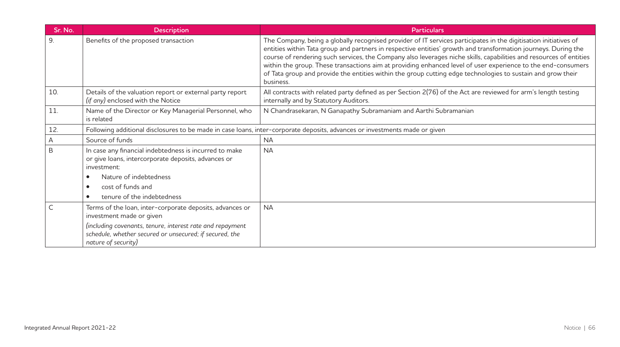| Sr. No. | <b>Description</b>                                                                                                                                     | <b>Particulars</b>                                                                                                                                                                                                                                                                                                                                                                                                                                                                                                                                                                                   |
|---------|--------------------------------------------------------------------------------------------------------------------------------------------------------|------------------------------------------------------------------------------------------------------------------------------------------------------------------------------------------------------------------------------------------------------------------------------------------------------------------------------------------------------------------------------------------------------------------------------------------------------------------------------------------------------------------------------------------------------------------------------------------------------|
| 9.      | Benefits of the proposed transaction                                                                                                                   | The Company, being a globally recognised provider of IT services participates in the digitisation initiatives of<br>entities within Tata group and partners in respective entities' growth and transformation journeys. During the<br>course of rendering such services, the Company also leverages niche skills, capabilities and resources of entities<br>within the group. These transactions aim at providing enhanced level of user experience to the end-consumers<br>of Tata group and provide the entities within the group cutting edge technologies to sustain and grow their<br>business. |
| 10.     | Details of the valuation report or external party report<br>(if any) enclosed with the Notice                                                          | All contracts with related party defined as per Section 2(76) of the Act are reviewed for arm's length testing<br>internally and by Statutory Auditors.                                                                                                                                                                                                                                                                                                                                                                                                                                              |
| 11.     | Name of the Director or Key Managerial Personnel, who<br>is related                                                                                    | N Chandrasekaran, N Ganapathy Subramaniam and Aarthi Subramanian                                                                                                                                                                                                                                                                                                                                                                                                                                                                                                                                     |
| 12.     |                                                                                                                                                        | Following additional disclosures to be made in case loans, inter-corporate deposits, advances or investments made or given                                                                                                                                                                                                                                                                                                                                                                                                                                                                           |
| Α       | Source of funds                                                                                                                                        | <b>NA</b>                                                                                                                                                                                                                                                                                                                                                                                                                                                                                                                                                                                            |
| B       | In case any financial indebtedness is incurred to make<br>or give loans, intercorporate deposits, advances or<br>investment:<br>Nature of indebtedness | <b>NA</b>                                                                                                                                                                                                                                                                                                                                                                                                                                                                                                                                                                                            |
|         | cost of funds and                                                                                                                                      |                                                                                                                                                                                                                                                                                                                                                                                                                                                                                                                                                                                                      |
|         | tenure of the indebtedness                                                                                                                             |                                                                                                                                                                                                                                                                                                                                                                                                                                                                                                                                                                                                      |
|         | Terms of the loan, inter-corporate deposits, advances or<br>investment made or given                                                                   | <b>NA</b>                                                                                                                                                                                                                                                                                                                                                                                                                                                                                                                                                                                            |
|         | (including covenants, tenure, interest rate and repayment<br>schedule, whether secured or unsecured; if secured, the<br>nature of security)            |                                                                                                                                                                                                                                                                                                                                                                                                                                                                                                                                                                                                      |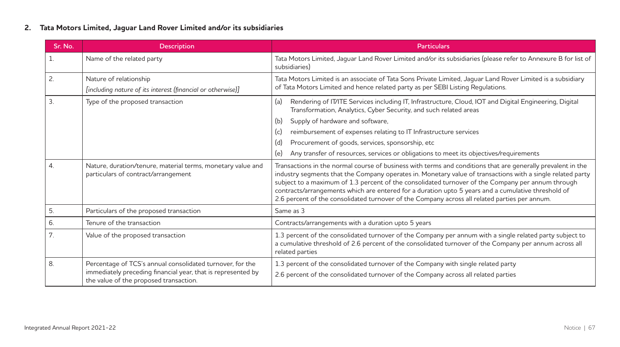### **2. Tata Motors Limited, Jaguar Land Rover Limited and/or its subsidiaries**

| Sr. No.          | <b>Description</b>                                                                                     | <b>Particulars</b>                                                                                                                                                                                                                                                                                                                                                                                                                                                                                                                    |
|------------------|--------------------------------------------------------------------------------------------------------|---------------------------------------------------------------------------------------------------------------------------------------------------------------------------------------------------------------------------------------------------------------------------------------------------------------------------------------------------------------------------------------------------------------------------------------------------------------------------------------------------------------------------------------|
| 1.               | Name of the related party                                                                              | Tata Motors Limited, Jaquar Land Rover Limited and/or its subsidiaries (please refer to Annexure B for list of<br>subsidiaries)                                                                                                                                                                                                                                                                                                                                                                                                       |
| 2.               | Nature of relationship<br>[including nature of its interest (financial or otherwise)]                  | Tata Motors Limited is an associate of Tata Sons Private Limited, Jaguar Land Rover Limited is a subsidiary<br>of Tata Motors Limited and hence related party as per SEBI Listing Regulations.                                                                                                                                                                                                                                                                                                                                        |
| 3.               | Type of the proposed transaction                                                                       | (a)<br>Rendering of IT/ITE Services including IT, Infrastructure, Cloud, IOT and Digital Engineering, Digital<br>Transformation, Analytics, Cyber Security, and such related areas                                                                                                                                                                                                                                                                                                                                                    |
|                  |                                                                                                        | Supply of hardware and software,<br>(b)                                                                                                                                                                                                                                                                                                                                                                                                                                                                                               |
|                  |                                                                                                        | reimbursement of expenses relating to IT Infrastructure services<br>(c)                                                                                                                                                                                                                                                                                                                                                                                                                                                               |
|                  |                                                                                                        | (d)<br>Procurement of goods, services, sponsorship, etc                                                                                                                                                                                                                                                                                                                                                                                                                                                                               |
|                  |                                                                                                        | Any transfer of resources, services or obligations to meet its objectives/requirements<br>(e)                                                                                                                                                                                                                                                                                                                                                                                                                                         |
| $\overline{4}$ . | Nature, duration/tenure, material terms, monetary value and<br>particulars of contract/arrangement     | Transactions in the normal course of business with terms and conditions that are generally prevalent in the<br>industry segments that the Company operates in. Monetary value of transactions with a single related party<br>subject to a maximum of 1.3 percent of the consolidated turnover of the Company per annum through<br>contracts/arrangements which are entered for a duration upto 5 years and a cumulative threshold of<br>2.6 percent of the consolidated turnover of the Company across all related parties per annum. |
| 5.               | Particulars of the proposed transaction                                                                | Same as 3                                                                                                                                                                                                                                                                                                                                                                                                                                                                                                                             |
| 6.               | Tenure of the transaction                                                                              | Contracts/arrangements with a duration upto 5 years                                                                                                                                                                                                                                                                                                                                                                                                                                                                                   |
| 7.               | Value of the proposed transaction                                                                      | 1.3 percent of the consolidated turnover of the Company per annum with a single related party subject to<br>a cumulative threshold of 2.6 percent of the consolidated turnover of the Company per annum across all<br>related parties                                                                                                                                                                                                                                                                                                 |
| 8.               | Percentage of TCS's annual consolidated turnover, for the                                              | 1.3 percent of the consolidated turnover of the Company with single related party                                                                                                                                                                                                                                                                                                                                                                                                                                                     |
|                  | immediately preceding financial year, that is represented by<br>the value of the proposed transaction. | 2.6 percent of the consolidated turnover of the Company across all related parties                                                                                                                                                                                                                                                                                                                                                                                                                                                    |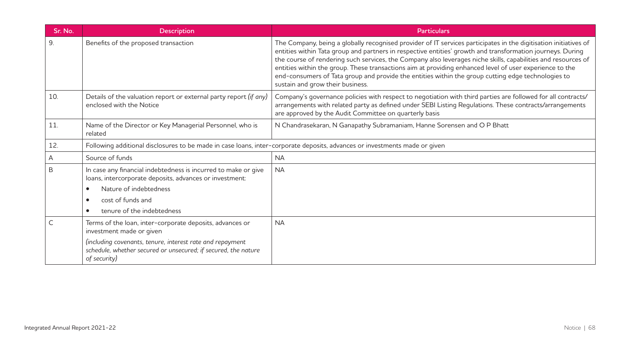| Sr. No.      | <b>Description</b>                                                                                                                                                                                                                  | <b>Particulars</b>                                                                                                                                                                                                                                                                                                                                                                                                                                                                                                                                                                                   |
|--------------|-------------------------------------------------------------------------------------------------------------------------------------------------------------------------------------------------------------------------------------|------------------------------------------------------------------------------------------------------------------------------------------------------------------------------------------------------------------------------------------------------------------------------------------------------------------------------------------------------------------------------------------------------------------------------------------------------------------------------------------------------------------------------------------------------------------------------------------------------|
| 9.           | Benefits of the proposed transaction                                                                                                                                                                                                | The Company, being a globally recognised provider of IT services participates in the digitisation initiatives of<br>entities within Tata group and partners in respective entities' growth and transformation journeys. During<br>the course of rendering such services, the Company also leverages niche skills, capabilities and resources of<br>entities within the group. These transactions aim at providing enhanced level of user experience to the<br>end-consumers of Tata group and provide the entities within the group cutting edge technologies to<br>sustain and grow their business. |
| 10.          | Details of the valuation report or external party report (if any)<br>enclosed with the Notice                                                                                                                                       | Company's governance policies with respect to negotiation with third parties are followed for all contracts/<br>arrangements with related party as defined under SEBI Listing Regulations. These contracts/arrangements<br>are approved by the Audit Committee on quarterly basis                                                                                                                                                                                                                                                                                                                    |
| 11.          | Name of the Director or Key Managerial Personnel, who is<br>related                                                                                                                                                                 | N Chandrasekaran, N Ganapathy Subramaniam, Hanne Sorensen and O P Bhatt                                                                                                                                                                                                                                                                                                                                                                                                                                                                                                                              |
| 12.          | Following additional disclosures to be made in case loans, inter-corporate deposits, advances or investments made or given                                                                                                          |                                                                                                                                                                                                                                                                                                                                                                                                                                                                                                                                                                                                      |
| А            | Source of funds                                                                                                                                                                                                                     | <b>NA</b>                                                                                                                                                                                                                                                                                                                                                                                                                                                                                                                                                                                            |
| B            | In case any financial indebtedness is incurred to make or give<br>loans, intercorporate deposits, advances or investment:<br>Nature of indebtedness<br>cost of funds and<br>$\bullet$<br>tenure of the indebtedness                 | <b>NA</b>                                                                                                                                                                                                                                                                                                                                                                                                                                                                                                                                                                                            |
| $\mathsf{C}$ | Terms of the loan, inter-corporate deposits, advances or<br>investment made or given<br>(including covenants, tenure, interest rate and repayment<br>schedule, whether secured or unsecured; if secured, the nature<br>of security) | <b>NA</b>                                                                                                                                                                                                                                                                                                                                                                                                                                                                                                                                                                                            |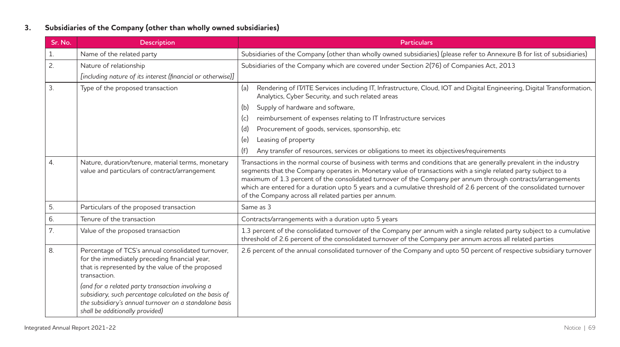## **3. Subsidiaries of the Company (other than wholly owned subsidiaries)**

| Sr. No. | <b>Description</b>                                                                                                                                                                                      | <b>Particulars</b>                                                                                                                                                                                                                                                                                                                                                                                                                                                                                                                    |
|---------|---------------------------------------------------------------------------------------------------------------------------------------------------------------------------------------------------------|---------------------------------------------------------------------------------------------------------------------------------------------------------------------------------------------------------------------------------------------------------------------------------------------------------------------------------------------------------------------------------------------------------------------------------------------------------------------------------------------------------------------------------------|
| 1.      | Name of the related party                                                                                                                                                                               | Subsidiaries of the Company (other than wholly owned subsidiaries) (please refer to Annexure B for list of subsidiaries)                                                                                                                                                                                                                                                                                                                                                                                                              |
| 2.      | Nature of relationship                                                                                                                                                                                  | Subsidiaries of the Company which are covered under Section 2(76) of Companies Act, 2013                                                                                                                                                                                                                                                                                                                                                                                                                                              |
|         | [including nature of its interest (financial or otherwise)]                                                                                                                                             |                                                                                                                                                                                                                                                                                                                                                                                                                                                                                                                                       |
| 3.      | Type of the proposed transaction                                                                                                                                                                        | Rendering of IT/ITE Services including IT, Infrastructure, Cloud, IOT and Digital Engineering, Digital Transformation,<br>(a)<br>Analytics, Cyber Security, and such related areas                                                                                                                                                                                                                                                                                                                                                    |
|         |                                                                                                                                                                                                         | Supply of hardware and software,<br>(b)                                                                                                                                                                                                                                                                                                                                                                                                                                                                                               |
|         |                                                                                                                                                                                                         | reimbursement of expenses relating to IT Infrastructure services<br>(c)                                                                                                                                                                                                                                                                                                                                                                                                                                                               |
|         |                                                                                                                                                                                                         | Procurement of goods, services, sponsorship, etc.<br>(d)                                                                                                                                                                                                                                                                                                                                                                                                                                                                              |
|         |                                                                                                                                                                                                         | Leasing of property<br>(e)                                                                                                                                                                                                                                                                                                                                                                                                                                                                                                            |
|         |                                                                                                                                                                                                         | Any transfer of resources, services or obligations to meet its objectives/requirements<br>(f)                                                                                                                                                                                                                                                                                                                                                                                                                                         |
| 4.      | Nature, duration/tenure, material terms, monetary<br>value and particulars of contract/arrangement                                                                                                      | Transactions in the normal course of business with terms and conditions that are generally prevalent in the industry<br>segments that the Company operates in. Monetary value of transactions with a single related party subject to a<br>maximum of 1.3 percent of the consolidated turnover of the Company per annum through contracts/arrangements<br>which are entered for a duration upto 5 years and a cumulative threshold of 2.6 percent of the consolidated turnover<br>of the Company across all related parties per annum. |
| 5.      | Particulars of the proposed transaction                                                                                                                                                                 | Same as 3                                                                                                                                                                                                                                                                                                                                                                                                                                                                                                                             |
| 6.      | Tenure of the transaction                                                                                                                                                                               | Contracts/arrangements with a duration upto 5 years                                                                                                                                                                                                                                                                                                                                                                                                                                                                                   |
| 7.      | Value of the proposed transaction                                                                                                                                                                       | 1.3 percent of the consolidated turnover of the Company per annum with a single related party subject to a cumulative<br>threshold of 2.6 percent of the consolidated turnover of the Company per annum across all related parties                                                                                                                                                                                                                                                                                                    |
| 8.      | Percentage of TCS's annual consolidated turnover,<br>for the immediately preceding financial year,<br>that is represented by the value of the proposed<br>transaction.                                  | 2.6 percent of the annual consolidated turnover of the Company and upto 50 percent of respective subsidiary turnover                                                                                                                                                                                                                                                                                                                                                                                                                  |
|         | (and for a related party transaction involving a<br>subsidiary, such percentage calculated on the basis of<br>the subsidiary's annual turnover on a standalone basis<br>shall be additionally provided) |                                                                                                                                                                                                                                                                                                                                                                                                                                                                                                                                       |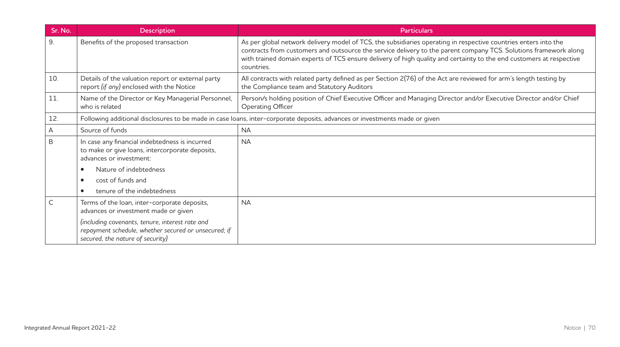| Sr. No. | <b>Description</b>                                                                                                                          | <b>Particulars</b>                                                                                                                                                                                                                                                                                                                                                       |
|---------|---------------------------------------------------------------------------------------------------------------------------------------------|--------------------------------------------------------------------------------------------------------------------------------------------------------------------------------------------------------------------------------------------------------------------------------------------------------------------------------------------------------------------------|
| 9.      | Benefits of the proposed transaction                                                                                                        | As per global network delivery model of TCS, the subsidiaries operating in respective countries enters into the<br>contracts from customers and outsource the service delivery to the parent company TCS. Solutions framework along<br>with trained domain experts of TCS ensure delivery of high quality and certainty to the end customers at respective<br>countries. |
| 10.     | Details of the valuation report or external party<br>report (if any) enclosed with the Notice                                               | All contracts with related party defined as per Section 2(76) of the Act are reviewed for arm's length testing by<br>the Compliance team and Statutory Auditors                                                                                                                                                                                                          |
| 11.     | Name of the Director or Key Managerial Personnel,<br>who is related                                                                         | Person/s holding position of Chief Executive Officer and Managing Director and/or Executive Director and/or Chief<br>Operating Officer                                                                                                                                                                                                                                   |
| 12.     |                                                                                                                                             | Following additional disclosures to be made in case loans, inter-corporate deposits, advances or investments made or given                                                                                                                                                                                                                                               |
| A       | Source of funds                                                                                                                             | <b>NA</b>                                                                                                                                                                                                                                                                                                                                                                |
| B       | In case any financial indebtedness is incurred<br>to make or give loans, intercorporate deposits,<br>advances or investment:                | <b>NA</b>                                                                                                                                                                                                                                                                                                                                                                |
|         | Nature of indebtedness                                                                                                                      |                                                                                                                                                                                                                                                                                                                                                                          |
|         | cost of funds and                                                                                                                           |                                                                                                                                                                                                                                                                                                                                                                          |
|         | tenure of the indebtedness<br>$\bullet$                                                                                                     |                                                                                                                                                                                                                                                                                                                                                                          |
| C       | Terms of the loan, inter-corporate deposits,<br>advances or investment made or given                                                        | <b>NA</b>                                                                                                                                                                                                                                                                                                                                                                |
|         | (including covenants, tenure, interest rate and<br>repayment schedule, whether secured or unsecured; if<br>secured, the nature of security) |                                                                                                                                                                                                                                                                                                                                                                          |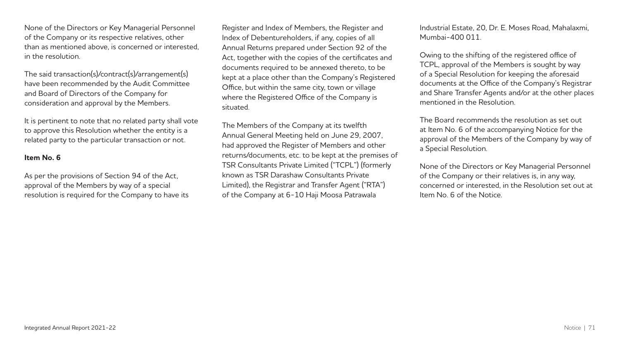None of the Directors or Key Managerial Personnel of the Company or its respective relatives, other than as mentioned above, is concerned or interested, in the resolution.

The said transaction(s)/contract(s)/arrangement(s) have been recommended by the Audit Committee and Board of Directors of the Company for consideration and approval by the Members.

It is pertinent to note that no related party shall vote to approve this Resolution whether the entity is a related party to the particular transaction or not.

### **Item No. 6**

As per the provisions of Section 94 of the Act, approval of the Members by way of a special resolution is required for the Company to have its

Register and Index of Members, the Register and Index of Debentureholders, if any, copies of all Annual Returns prepared under Section 92 of the Act, together with the copies of the certificates and documents required to be annexed thereto, to be kept at a place other than the Company's Registered Office, but within the same city, town or village where the Registered Office of the Company is situated.

The Members of the Company at its twelfth Annual General Meeting held on June 29, 2007, had approved the Register of Members and other returns/documents, etc. to be kept at the premises of TSR Consultants Private Limited ("TCPL") (formerly known as TSR Darashaw Consultants Private Limited), the Registrar and Transfer Agent ("RTA") of the Company at 6-10 Haji Moosa Patrawala

Industrial Estate, 20, Dr. E. Moses Road, Mahalaxmi, Mumbai-400 011.

Owing to the shifting of the registered office of TCPL, approval of the Members is sought by way of a Special Resolution for keeping the aforesaid documents at the Office of the Company's Registrar and Share Transfer Agents and/or at the other places mentioned in the Resolution.

The Board recommends the resolution as set out at Item No. 6 of the accompanying Notice for the approval of the Members of the Company by way of a Special Resolution.

None of the Directors or Key Managerial Personnel of the Company or their relatives is, in any way, concerned or interested, in the Resolution set out at Item No. 6 of the Notice.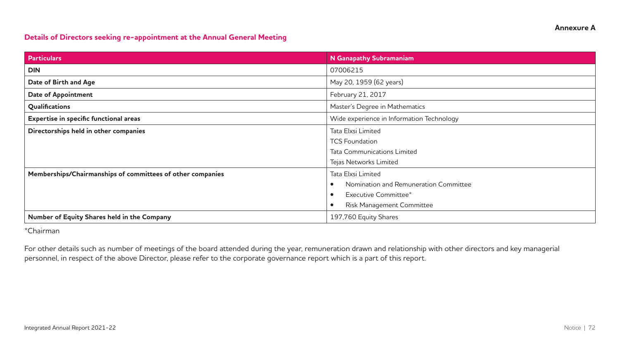### **Details of Directors seeking re-appointment at the Annual General Meeting**

| <b>Particulars</b>                                         | N Ganapathy Subramaniam                   |
|------------------------------------------------------------|-------------------------------------------|
| <b>DIN</b>                                                 | 07006215                                  |
| Date of Birth and Age                                      | May 20, 1959 (62 years)                   |
| <b>Date of Appointment</b>                                 | February 21, 2017                         |
| Qualifications                                             | Master's Degree in Mathematics            |
| Expertise in specific functional areas                     | Wide experience in Information Technology |
| Directorships held in other companies                      | Tata Elxsi Limited                        |
|                                                            | <b>TCS Foundation</b>                     |
|                                                            | <b>Tata Communications Limited</b>        |
|                                                            | Tejas Networks Limited                    |
| Memberships/Chairmanships of committees of other companies | Tata Elxsi Limited                        |
|                                                            | Nomination and Remuneration Committee     |
|                                                            | Executive Committee*                      |
|                                                            | <b>Risk Management Committee</b>          |
| Number of Equity Shares held in the Company                | 197,760 Equity Shares                     |

\*Chairman

For other details such as number of meetings of the board attended during the year, remuneration drawn and relationship with other directors and key managerial personnel, in respect of the above Director, please refer to the corporate governance report which is a part of this report.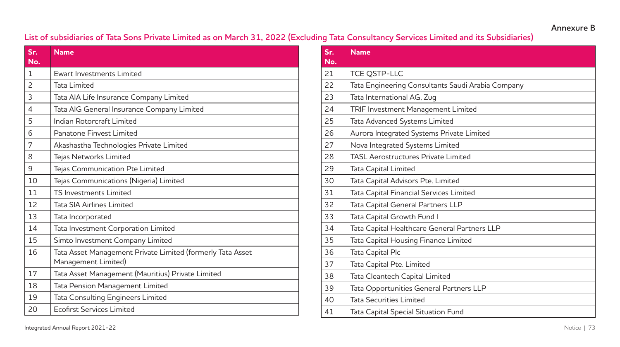# **Annexure B**

# **List of subsidiaries of Tata Sons Private Limited as on March 31, 2022 (Excluding Tata Consultancy Services Limited and its Subsidiaries)**

| Sr.<br>No.     | <b>Name</b>                                                                       |
|----------------|-----------------------------------------------------------------------------------|
| 1              | Ewart Investments Limited                                                         |
| $\mathcal{P}$  | <b>Tata Limited</b>                                                               |
| 3              | Tata AIA Life Insurance Company Limited                                           |
| $\overline{4}$ | Tata AIG General Insurance Company Limited                                        |
| 5              | Indian Rotorcraft Limited                                                         |
| 6              | Panatone Finvest Limited                                                          |
| 7              | Akashastha Technologies Private Limited                                           |
| 8              | Tejas Networks Limited                                                            |
| 9              | Tejas Communication Pte Limited                                                   |
| 10             | Tejas Communications (Nigeria) Limited                                            |
| 11             | <b>TS Investments Limited</b>                                                     |
| 12             | Tata SIA Airlines Limited                                                         |
| 13             | Tata Incorporated                                                                 |
| 14             | Tata Investment Corporation Limited                                               |
| 15             | Simto Investment Company Limited                                                  |
| 16             | Tata Asset Management Private Limited (formerly Tata Asset<br>Management Limited) |
| 17             | Tata Asset Management (Mauritius) Private Limited                                 |
| 18             | Tata Pension Management Limited                                                   |
| 19             | Tata Consulting Engineers Limited                                                 |
| 20             | <b>Ecofirst Services Limited</b>                                                  |

| Sr.<br>No. | <b>Name</b>                                       |
|------------|---------------------------------------------------|
| 21         | <b>TCE QSTP-LLC</b>                               |
| 22         | Tata Engineering Consultants Saudi Arabia Company |
| 23         | Tata International AG, Zug                        |
| 24         | TRIF Investment Management Limited                |
| 25         | Tata Advanced Systems Limited                     |
| 26         | Aurora Integrated Systems Private Limited         |
| 27         | Nova Integrated Systems Limited                   |
| 28         | <b>TASL Aerostructures Private Limited</b>        |
| 29         | Tata Capital Limited                              |
| 30         | Tata Capital Advisors Pte. Limited                |
| 31         | Tata Capital Financial Services Limited           |
| 32         | Tata Capital General Partners LLP                 |
| 33         | Tata Capital Growth Fund I                        |
| 34         | Tata Capital Healthcare General Partners LLP      |
| 35         | Tata Capital Housing Finance Limited              |
| 36         | Tata Capital Plc                                  |
| 37         | Tata Capital Pte. Limited                         |
| 38         | Tata Cleantech Capital Limited                    |
| 39         | Tata Opportunities General Partners LLP           |
| 40         | <b>Tata Securities Limited</b>                    |
| 41         | Tata Capital Special Situation Fund               |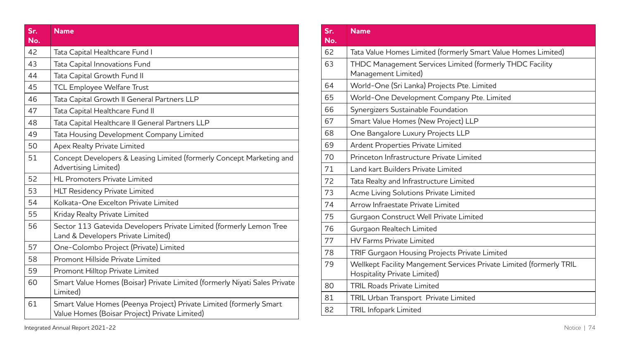| Sr.<br>No. | <b>Name</b>                                                                                                         |
|------------|---------------------------------------------------------------------------------------------------------------------|
| 42         | Tata Capital Healthcare Fund I                                                                                      |
| 43         | Tata Capital Innovations Fund                                                                                       |
| 44         | Tata Capital Growth Fund II                                                                                         |
| 45         | <b>TCL Employee Welfare Trust</b>                                                                                   |
| 46         | Tata Capital Growth II General Partners LLP                                                                         |
| 47         | Tata Capital Healthcare Fund II                                                                                     |
| 48         | Tata Capital Healthcare II General Partners LLP                                                                     |
| 49         | Tata Housing Development Company Limited                                                                            |
| 50         | Apex Realty Private Limited                                                                                         |
| 51         | Concept Developers & Leasing Limited (formerly Concept Marketing and<br>Advertising Limited)                        |
| 52         | <b>HL Promoters Private Limited</b>                                                                                 |
| 53         | <b>HLT Residency Private Limited</b>                                                                                |
| 54         | Kolkata-One Excelton Private Limited                                                                                |
| 55         | Kriday Realty Private Limited                                                                                       |
| 56         | Sector 113 Gatevida Developers Private Limited (formerly Lemon Tree<br>Land & Developers Private Limited)           |
| 57         | One-Colombo Project (Private) Limited                                                                               |
| 58         | Promont Hillside Private Limited                                                                                    |
| 59         | Promont Hilltop Private Limited                                                                                     |
| 60         | Smart Value Homes (Boisar) Private Limited (formerly Niyati Sales Private<br>Limited)                               |
| 61         | Smart Value Homes (Peenya Project) Private Limited (formerly Smart<br>Value Homes (Boisar Project) Private Limited) |

| $S_{\Gamma}$ .<br>No. | <b>Name</b>                                                                                         |
|-----------------------|-----------------------------------------------------------------------------------------------------|
| 62                    | Tata Value Homes Limited (formerly Smart Value Homes Limited)                                       |
| 63                    | THDC Management Services Limited (formerly THDC Facility<br>Management Limited)                     |
| 64                    | World-One (Sri Lanka) Projects Pte. Limited                                                         |
| 65                    | World-One Development Company Pte. Limited                                                          |
| 66                    | Synergizers Sustainable Foundation                                                                  |
| 67                    | Smart Value Homes (New Project) LLP                                                                 |
| 68                    | One Bangalore Luxury Projects LLP                                                                   |
| 69                    | Ardent Properties Private Limited                                                                   |
| 70                    | Princeton Infrastructure Private Limited                                                            |
| 71                    | Land kart Builders Private Limited                                                                  |
| 72                    | Tata Realty and Infrastructure Limited                                                              |
| 73                    | Acme Living Solutions Private Limited                                                               |
| 74                    | Arrow Infraestate Private Limited                                                                   |
| 75                    | Gurgaon Construct Well Private Limited                                                              |
| 76                    | Gurgaon Realtech Limited                                                                            |
| 77                    | <b>HV Farms Private Limited</b>                                                                     |
| 78                    | TRIF Gurgaon Housing Projects Private Limited                                                       |
| 79                    | Wellkept Facility Mangement Services Private Limited (formerly TRIL<br>Hospitality Private Limited) |
| 80                    | <b>TRIL Roads Private Limited</b>                                                                   |
| 81                    | TRIL Urban Transport Private Limited                                                                |
| 82                    | TRIL Infopark Limited                                                                               |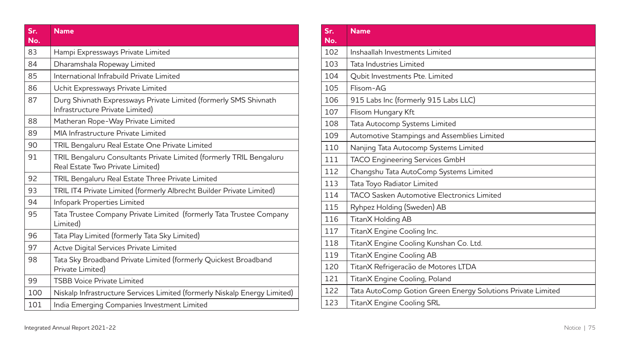| Sr.<br>No. | <b>Name</b>                                                                                             |
|------------|---------------------------------------------------------------------------------------------------------|
| 83         | Hampi Expressways Private Limited                                                                       |
| 84         | Dharamshala Ropeway Limited                                                                             |
| 85         | International Infrabuild Private Limited                                                                |
| 86         | Uchit Expressways Private Limited                                                                       |
| 87         | Durg Shivnath Expressways Private Limited (formerly SMS Shivnath<br>Infrastructure Private Limited)     |
| 88         | Matheran Rope-Way Private Limited                                                                       |
| 89         | MIA Infrastructure Private Limited                                                                      |
| 90         | TRIL Bengaluru Real Estate One Private Limited                                                          |
| 91         | TRIL Bengaluru Consultants Private Limited (formerly TRIL Bengaluru<br>Real Estate Two Private Limited) |
| 92         | TRIL Bengaluru Real Estate Three Private Limited                                                        |
| 93         | TRIL IT4 Private Limited (formerly Albrecht Builder Private Limited)                                    |
| 94         | Infopark Properties Limited                                                                             |
| 95         | Tata Trustee Company Private Limited (formerly Tata Trustee Company<br>Limited)                         |
| 96         | Tata Play Limited (formerly Tata Sky Limited)                                                           |
| 97         | Actve Digital Services Private Limited                                                                  |
| 98         | Tata Sky Broadband Private Limited (formerly Quickest Broadband<br>Private Limited)                     |
| 99         | <b>TSBB Voice Private Limited</b>                                                                       |
| 100        | Niskalp Infrastructure Services Limited (formerly Niskalp Energy Limited)                               |
| 101        | India Emerging Companies Investment Limited                                                             |

| Sr.<br>No. | <b>Name</b>                                                 |
|------------|-------------------------------------------------------------|
| 102        | Inshaallah Investments Limited                              |
| 103        | Tata Industries Limited                                     |
| 104        | Qubit Investments Pte. Limited                              |
| 105        | Flisom-AG                                                   |
| 106        | 915 Labs Inc (formerly 915 Labs LLC)                        |
| 107        | Flisom Hungary Kft                                          |
| 108        | Tata Autocomp Systems Limited                               |
| 109        | Automotive Stampings and Assemblies Limited                 |
| 110        | Nanjing Tata Autocomp Systems Limited                       |
| 111        | TACO Engineering Services GmbH                              |
| 112        | Changshu Tata AutoComp Systems Limited                      |
| 113        | Tata Toyo Radiator Limited                                  |
| 114        | <b>TACO Sasken Automotive Electronics Limited</b>           |
| 115        | Ryhpez Holding (Sweden) AB                                  |
| 116        | TitanX Holding AB                                           |
| 117        | TitanX Engine Cooling Inc.                                  |
| 118        | TitanX Engine Cooling Kunshan Co. Ltd.                      |
| 119        | TitanX Engine Cooling AB                                    |
| 120        | TitanX Refrigeracão de Motores LTDA                         |
| 121        | TitanX Engine Cooling, Poland                               |
| 122        | Tata AutoComp Gotion Green Energy Solutions Private Limited |
| 123        | <b>TitanX Engine Cooling SRL</b>                            |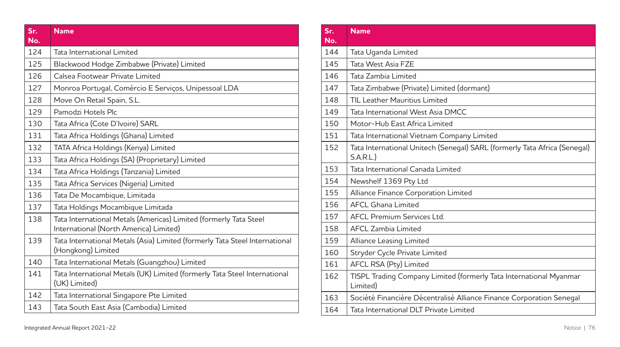| Sr.<br>No. | <b>Name</b>                                                                                                 |
|------------|-------------------------------------------------------------------------------------------------------------|
| 124        | Tata International Limited                                                                                  |
| 125        | Blackwood Hodge Zimbabwe (Private) Limited                                                                  |
| 126        | Calsea Footwear Private Limited                                                                             |
| 127        | Monroa Portugal, Comércio E Serviços, Unipessoal LDA                                                        |
| 128        | Move On Retail Spain, S.L.                                                                                  |
| 129        | Pamodzi Hotels Plc                                                                                          |
| 130        | Tata Africa (Cote D'Ivoire) SARL                                                                            |
| 131        | Tata Africa Holdings (Ghana) Limited                                                                        |
| 132        | TATA Africa Holdings (Kenya) Limited                                                                        |
| 133        | Tata Africa Holdings (SA) (Proprietary) Limited                                                             |
| 134        | Tata Africa Holdings (Tanzania) Limited                                                                     |
| 135        | Tata Africa Services (Nigeria) Limited                                                                      |
| 136        | Tata De Mocambique, Limitada                                                                                |
| 137        | Tata Holdings Mocambique Limitada                                                                           |
| 138        | Tata International Metals (Americas) Limited (formerly Tata Steel<br>International (North America) Limited) |
| 139        | Tata International Metals (Asia) Limited (formerly Tata Steel International<br>(Hongkong) Limited           |
| 140        | Tata International Metals (Guangzhou) Limited                                                               |
| 141        | Tata International Metals (UK) Limited (formerly Tata Steel International<br>(UK) Limited)                  |
| 142        | Tata International Singapore Pte Limited                                                                    |
| 143        | Tata South East Asia (Cambodia) Limited                                                                     |

| Sr.<br>No. | <b>Name</b>                                                                           |
|------------|---------------------------------------------------------------------------------------|
| 144        | Tata Uganda Limited                                                                   |
| 145        | Tata West Asia FZE                                                                    |
| 146        | Tata Zambia Limited                                                                   |
| 147        | Tata Zimbabwe (Private) Limited (dormant)                                             |
| 148        | TIL Leather Mauritius Limited                                                         |
| 149        | Tata International West Asia DMCC                                                     |
| 150        | Motor-Hub Fast Africa Limited                                                         |
| 151        | Tata International Vietnam Company Limited                                            |
| 152        | Tata International Unitech (Senegal) SARL (formerly Tata Africa (Senegal)<br>S.A.R.L. |
| 153        | Tata International Canada Limited                                                     |
| 154        | Newshelf 1369 Pty Ltd                                                                 |
| 155        | Alliance Finance Corporation Limited                                                  |
| 156        | <b>AFCL Ghana Limited</b>                                                             |
| 157        | <b>AFCL Premium Services Ltd.</b>                                                     |
| 158        | AFCL Zambia Limited                                                                   |
| 159        | Alliance Leasing Limited                                                              |
| 160        | Stryder Cycle Private Limited                                                         |
| 161        | AFCL RSA (Pty) Limited                                                                |
| 162        | TISPL Trading Company Limited (formerly Tata International Myanmar<br>Limited)        |
| 163        | Société Financière Décentralisé Alliance Finance Corporation Senegal                  |
| 164        | Tata International DLT Private Limited                                                |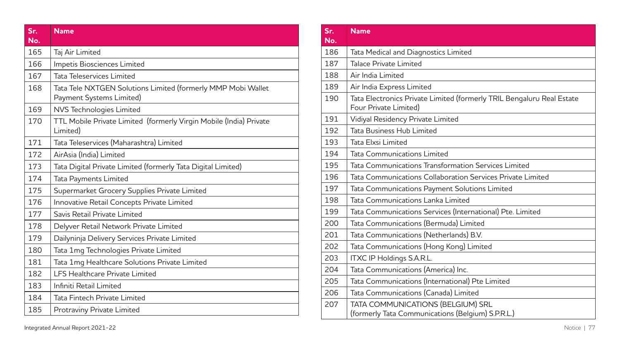| Sr.<br>No. | <b>Name</b>                                                                              |
|------------|------------------------------------------------------------------------------------------|
| 165        | Taj Air Limited                                                                          |
| 166        | Impetis Biosciences Limited                                                              |
| 167        | Tata Teleservices Limited                                                                |
| 168        | Tata Tele NXTGEN Solutions Limited (formerly MMP Mobi Wallet<br>Payment Systems Limited) |
| 169        | NVS Technologies Limited                                                                 |
| 170        | TTL Mobile Private Limited (formerly Virgin Mobile (India) Private<br>Limited)           |
| 171        | Tata Teleservices (Maharashtra) Limited                                                  |
| 172        | AirAsia (India) Limited                                                                  |
| 173        | Tata Digital Private Limited (formerly Tata Digital Limited)                             |
| 174        | Tata Payments Limited                                                                    |
| 175        | Supermarket Grocery Supplies Private Limited                                             |
| 176        | Innovative Retail Concepts Private Limited                                               |
| 177        | Savis Retail Private Limited                                                             |
| 178        | Delyver Retail Network Private Limited                                                   |
| 179        | Dailyninja Delivery Services Private Limited                                             |
| 180        | Tata 1mg Technologies Private Limited                                                    |
| 181        | Tata 1mg Healthcare Solutions Private Limited                                            |
| 182        | <b>LFS Healthcare Private Limited</b>                                                    |
| 183        | Infiniti Retail Limited                                                                  |
| 184        | Tata Fintech Private Limited                                                             |
| 185        | Protraviny Private Limited                                                               |

| Sr.<br>No. | <b>Name</b>                                                                                    |
|------------|------------------------------------------------------------------------------------------------|
| 186        | Tata Medical and Diagnostics Limited                                                           |
| 187        | Talace Private Limited                                                                         |
| 188        | Air India Limited                                                                              |
| 189        | Air India Express Limited                                                                      |
| 190        | Tata Electronics Private Limited (formerly TRIL Bengaluru Real Estate<br>Four Private Limited) |
| 191        | Vidiyal Residency Private Limited                                                              |
| 192        | Tata Business Hub Limited                                                                      |
| 193        | Tata Elxsi Limited                                                                             |
| 194        | Tata Communications Limited                                                                    |
| 195        | Tata Communications Transformation Services Limited                                            |
| 196        | Tata Communications Collaboration Services Private Limited                                     |
| 197        | Tata Communications Payment Solutions Limited                                                  |
| 198        | Tata Communications Lanka Limited                                                              |
| 199        | Tata Communications Services (International) Pte. Limited                                      |
| 200        | Tata Communications (Bermuda) Limited                                                          |
| 201        | Tata Communications (Netherlands) B.V.                                                         |
| 202        | Tata Communications (Hong Kong) Limited                                                        |
| 203        | <b>ITXC IP Holdings S.A.R.L.</b>                                                               |
| 204        | Tata Communications (America) Inc.                                                             |
| 205        | Tata Communications (International) Pte Limited                                                |
| 206        | Tata Communications (Canada) Limited                                                           |
| 207        | TATA COMMUNICATIONS (BELGIUM) SRL<br>(formerly Tata Communications (Belgium) S.P.R.L.)         |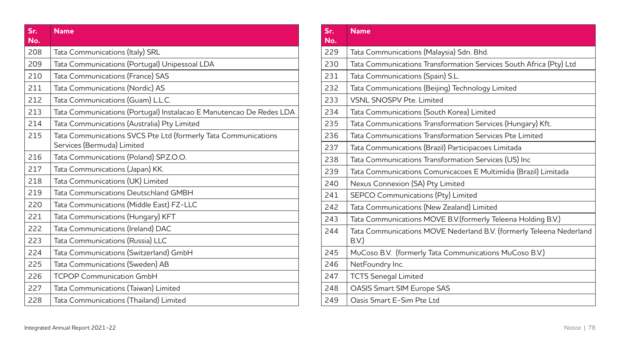| Sr.<br>No. | <b>Name</b>                                                                                  |
|------------|----------------------------------------------------------------------------------------------|
| 208        | Tata Communications (Italy) SRL                                                              |
| 209        | Tata Communications (Portugal) Unipessoal LDA                                                |
| 210        | Tata Communications (France) SAS                                                             |
| 211        | Tata Communications (Nordic) AS                                                              |
| 212        | Tata Communications (Guam) L.L.C.                                                            |
| 213        | Tata Communications (Portugal) Instalacao E Manutencao De Redes LDA                          |
| 214        | Tata Communications (Australia) Pty Limited                                                  |
| 215        | Tata Communications SVCS Pte Ltd (formerly Tata Communications<br>Services (Bermuda) Limited |
| 216        | Tata Communications (Poland) SP.Z.O.O.                                                       |
| 217        | Tata Communications (Japan) KK.                                                              |
| 218        | Tata Communications (UK) Limited                                                             |
| 219        | Tata Communications Deutschland GMBH                                                         |
| 220        | Tata Communications (Middle East) FZ-LLC                                                     |
| 221        | Tata Communications (Hungary) KFT                                                            |
| 222        | Tata Communications (Ireland) DAC                                                            |
| 223        | Tata Communications (Russia) LLC                                                             |
| 224        | Tata Communications (Switzerland) GmbH                                                       |
| 225        | Tata Communications (Sweden) AB                                                              |
| 226        | <b>TCPOP Communication GmbH</b>                                                              |
| 227        | Tata Communications (Taiwan) Limited                                                         |
| 228        | Tata Communications (Thailand) Limited                                                       |

| Sr.<br>No. | <b>Name</b>                                                                 |
|------------|-----------------------------------------------------------------------------|
| 229        | Tata Communications (Malaysia) Sdn. Bhd.                                    |
| 230        | Tata Communications Transformation Services South Africa (Pty) Ltd          |
| 231        | Tata Communications (Spain) S.L.                                            |
| 232        | Tata Communications (Beijing) Technology Limited                            |
| 233        | <b>VSNL SNOSPV Pte. Limited</b>                                             |
| 234        | Tata Communications (South Korea) Limited                                   |
| 235        | Tata Communications Transformation Services (Hungary) Kft.                  |
| 236        | Tata Communications Transformation Services Pte Limited                     |
| 237        | Tata Communications (Brazil) Participacoes Limitada                         |
| 238        | Tata Communications Transformation Services (US) Inc                        |
| 239        | Tata Communications Comunicacoes E Multimídia (Brazil) Limitada             |
| 240        | Nexus Connexion (SA) Pty Limited                                            |
| 241        | SEPCO Communications (Pty) Limited                                          |
| 242        | Tata Communications (New Zealand) Limited                                   |
| 243        | Tata Communications MOVE B.V.(formerly Teleena Holding B.V.)                |
| 244        | Tata Communications MOVE Nederland B.V. (formerly Teleena Nederland<br>B.V. |
| 245        | MuCoso B.V. (formerly Tata Communications MuCoso B.V.)                      |
| 246        | NetFoundry Inc.                                                             |
| 247        | <b>TCTS Senegal Limited</b>                                                 |
| 248        | <b>OASIS Smart SIM Europe SAS</b>                                           |
| 249        | Oasis Smart E-Sim Pte Ltd                                                   |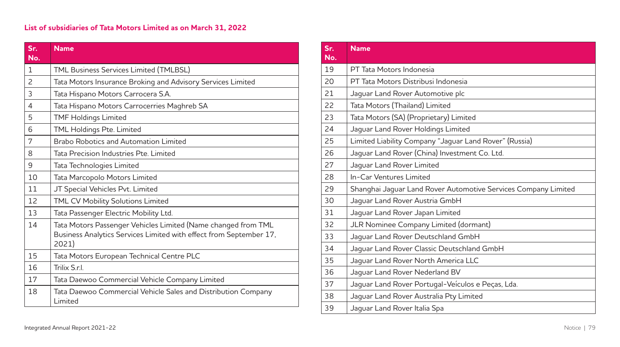| Sr.<br>No.     | <b>Name</b>                                                                                                                                  |
|----------------|----------------------------------------------------------------------------------------------------------------------------------------------|
| 1              | TML Business Services Limited (TMLBSL)                                                                                                       |
| $\overline{c}$ | Tata Motors Insurance Broking and Advisory Services Limited                                                                                  |
| 3              | Tata Hispano Motors Carrocera S.A.                                                                                                           |
| $\overline{4}$ | Tata Hispano Motors Carrocerries Maghreb SA                                                                                                  |
| 5              | <b>TMF Holdings Limited</b>                                                                                                                  |
| 6              | TML Holdings Pte. Limited                                                                                                                    |
| 7              | Brabo Robotics and Automation Limited                                                                                                        |
| 8              | Tata Precision Industries Pte. Limited                                                                                                       |
| 9              | Tata Technologies Limited                                                                                                                    |
| 10             | Tata Marcopolo Motors Limited                                                                                                                |
| 11             | JT Special Vehicles Pvt. Limited                                                                                                             |
| 12             | TML CV Mobility Solutions Limited                                                                                                            |
| 13             | Tata Passenger Electric Mobility Ltd.                                                                                                        |
| 14             | Tata Motors Passenger Vehicles Limited (Name changed from TML<br>Business Analytics Services Limited with effect from September 17,<br>2021) |
| 15             | Tata Motors European Technical Centre PLC                                                                                                    |
| 16             | Trilix Srl                                                                                                                                   |
| 17             | Tata Daewoo Commercial Vehicle Company Limited                                                                                               |
| 18             | Tata Daewoo Commercial Vehicle Sales and Distribution Company<br>Limited                                                                     |

| Sr.<br>No. | <b>Name</b>                                                    |
|------------|----------------------------------------------------------------|
| 19         | PT Tata Motors Indonesia                                       |
| 20         | PT Tata Motors Distribusi Indonesia                            |
| 21         | Jaguar Land Rover Automotive plc                               |
| 22         | Tata Motors (Thailand) Limited                                 |
| 23         | Tata Motors (SA) (Proprietary) Limited                         |
| 24         | Jaguar Land Rover Holdings Limited                             |
| 25         | Limited Liability Company "Jaguar Land Rover" (Russia)         |
| 26         | Jaguar Land Rover (China) Investment Co. Ltd.                  |
| 27         | Jaquar Land Rover Limited                                      |
| 28         | In-Car Ventures Limited                                        |
| 29         | Shanghai Jaguar Land Rover Automotive Services Company Limited |
| 30         | Jaguar Land Rover Austria GmbH                                 |
| 31         | Jaguar Land Rover Japan Limited                                |
| 32         | JLR Nominee Company Limited (dormant)                          |
| 33         | Jaguar Land Rover Deutschland GmbH                             |
| 34         | Jaquar Land Rover Classic Deutschland GmbH                     |
| 35         | Jaguar Land Rover North America LLC                            |
| 36         | Jaquar Land Rover Nederland BV                                 |
| 37         | Jaguar Land Rover Portugal-Veículos e Peças, Lda.              |
| 38         | Jaguar Land Rover Australia Pty Limited                        |
| 39         | Jaguar Land Rover Italia Spa                                   |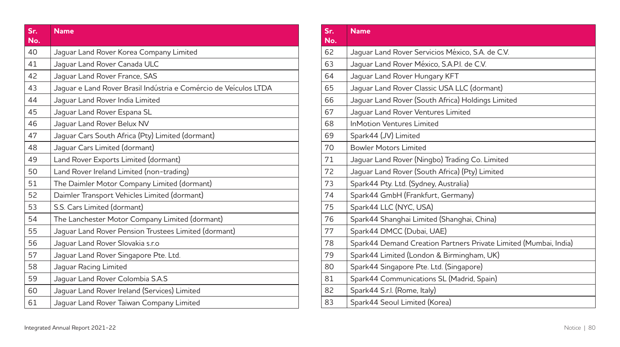| Sr.<br>No. | <b>Name</b>                                                      |
|------------|------------------------------------------------------------------|
| 40         |                                                                  |
|            | Jaguar Land Rover Korea Company Limited                          |
| 41         | Jaquar Land Rover Canada ULC                                     |
| 42         | Jaguar Land Rover France, SAS                                    |
| 43         | Jaquar e Land Rover Brasil Indústria e Comércio de Veículos LTDA |
| 44         | Jaquar Land Rover India Limited                                  |
| 45         | Jaguar Land Rover Espana SL                                      |
| 46         | Jaguar Land Rover Belux NV                                       |
| 47         | Jaguar Cars South Africa (Pty) Limited (dormant)                 |
| 48         | Jaguar Cars Limited (dormant)                                    |
| 49         | Land Rover Exports Limited (dormant)                             |
| 50         | Land Rover Ireland Limited (non-trading)                         |
| 51         | The Daimler Motor Company Limited (dormant)                      |
| 52         | Daimler Transport Vehicles Limited (dormant)                     |
| 53         | S.S. Cars Limited (dormant)                                      |
| 54         | The Lanchester Motor Company Limited (dormant)                   |
| 55         | Jaquar Land Rover Pension Trustees Limited (dormant)             |
| 56         | Jaguar Land Rover Slovakia s.r.o                                 |
| 57         | Jaguar Land Rover Singapore Pte. Ltd.                            |
| 58         | Jaguar Racing Limited                                            |
| 59         | Jaguar Land Rover Colombia S.A.S                                 |
| 60         | Jaguar Land Rover Ireland (Services) Limited                     |
| 61         | Jaguar Land Rover Taiwan Company Limited                         |

| Sr.<br>No. | <b>Name</b>                                                      |
|------------|------------------------------------------------------------------|
| 62         | Jaquar Land Rover Servicios México, S.A. de C.V.                 |
| 63         | Jaquar Land Rover México, S.A.P.I. de C.V.                       |
| 64         | Jaguar Land Rover Hungary KFT                                    |
| 65         | Jaguar Land Rover Classic USA LLC (dormant)                      |
| 66         | Jaguar Land Rover (South Africa) Holdings Limited                |
| 67         | Jaguar Land Rover Ventures Limited                               |
| 68         | <b>InMotion Ventures Limited</b>                                 |
| 69         | Spark44 (JV) Limited                                             |
| 70         | <b>Bowler Motors Limited</b>                                     |
| 71         | Jaguar Land Rover (Ningbo) Trading Co. Limited                   |
| 72         | Jaguar Land Rover (South Africa) (Pty) Limited                   |
| 73         | Spark44 Pty. Ltd. (Sydney, Australia)                            |
| 74         | Spark44 GmbH (Frankfurt, Germany)                                |
| 75         | Spark44 LLC (NYC, USA)                                           |
| 76         | Spark44 Shanghai Limited (Shanghai, China)                       |
| 77         | Spark44 DMCC (Dubai, UAE)                                        |
| 78         | Spark44 Demand Creation Partners Private Limited (Mumbai, India) |
| 79         | Spark44 Limited (London & Birmingham, UK)                        |
| 80         | Spark44 Singapore Pte. Ltd. (Singapore)                          |
| 81         | Spark44 Communications SL (Madrid, Spain)                        |
| 82         | Spark44 S.r.l. (Rome, Italy)                                     |
| 83         | Spark44 Seoul Limited (Korea)                                    |